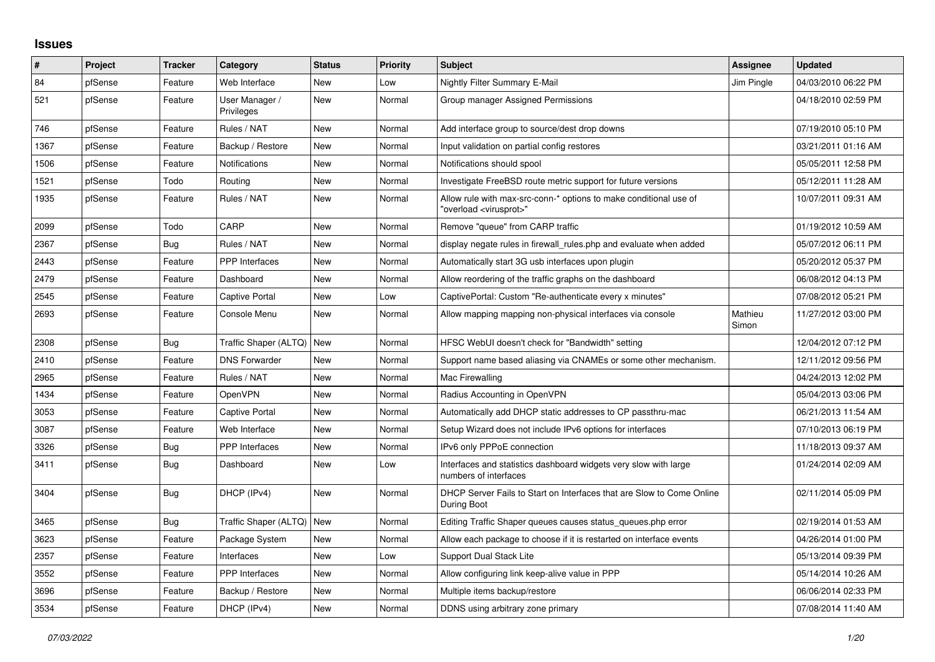## **Issues**

| ∦    | Project | <b>Tracker</b> | Category                     | <b>Status</b> | <b>Priority</b> | <b>Subject</b>                                                                                          | Assignee         | <b>Updated</b>      |
|------|---------|----------------|------------------------------|---------------|-----------------|---------------------------------------------------------------------------------------------------------|------------------|---------------------|
| 84   | pfSense | Feature        | Web Interface                | <b>New</b>    | Low             | <b>Nightly Filter Summary E-Mail</b>                                                                    | Jim Pingle       | 04/03/2010 06:22 PM |
| 521  | pfSense | Feature        | User Manager /<br>Privileges | <b>New</b>    | Normal          | Group manager Assigned Permissions                                                                      |                  | 04/18/2010 02:59 PM |
| 746  | pfSense | Feature        | Rules / NAT                  | <b>New</b>    | Normal          | Add interface group to source/dest drop downs                                                           |                  | 07/19/2010 05:10 PM |
| 1367 | pfSense | Feature        | Backup / Restore             | New           | Normal          | Input validation on partial config restores                                                             |                  | 03/21/2011 01:16 AM |
| 1506 | pfSense | Feature        | <b>Notifications</b>         | <b>New</b>    | Normal          | Notifications should spool                                                                              |                  | 05/05/2011 12:58 PM |
| 1521 | pfSense | Todo           | Routing                      | New           | Normal          | Investigate FreeBSD route metric support for future versions                                            |                  | 05/12/2011 11:28 AM |
| 1935 | pfSense | Feature        | Rules / NAT                  | <b>New</b>    | Normal          | Allow rule with max-src-conn-* options to make conditional use of<br>'overload <virusprot>"</virusprot> |                  | 10/07/2011 09:31 AM |
| 2099 | pfSense | Todo           | CARP                         | <b>New</b>    | Normal          | Remove "queue" from CARP traffic                                                                        |                  | 01/19/2012 10:59 AM |
| 2367 | pfSense | Bug            | Rules / NAT                  | New           | Normal          | display negate rules in firewall_rules.php and evaluate when added                                      |                  | 05/07/2012 06:11 PM |
| 2443 | pfSense | Feature        | PPP Interfaces               | <b>New</b>    | Normal          | Automatically start 3G usb interfaces upon plugin                                                       |                  | 05/20/2012 05:37 PM |
| 2479 | pfSense | Feature        | Dashboard                    | New           | Normal          | Allow reordering of the traffic graphs on the dashboard                                                 |                  | 06/08/2012 04:13 PM |
| 2545 | pfSense | Feature        | <b>Captive Portal</b>        | New           | Low             | CaptivePortal: Custom "Re-authenticate every x minutes"                                                 |                  | 07/08/2012 05:21 PM |
| 2693 | pfSense | Feature        | Console Menu                 | New           | Normal          | Allow mapping mapping non-physical interfaces via console                                               | Mathieu<br>Simon | 11/27/2012 03:00 PM |
| 2308 | pfSense | Bug            | Traffic Shaper (ALTQ)   New  |               | Normal          | HFSC WebUI doesn't check for "Bandwidth" setting                                                        |                  | 12/04/2012 07:12 PM |
| 2410 | pfSense | Feature        | <b>DNS Forwarder</b>         | <b>New</b>    | Normal          | Support name based aliasing via CNAMEs or some other mechanism.                                         |                  | 12/11/2012 09:56 PM |
| 2965 | pfSense | Feature        | Rules / NAT                  | New           | Normal          | Mac Firewalling                                                                                         |                  | 04/24/2013 12:02 PM |
| 1434 | pfSense | Feature        | <b>OpenVPN</b>               | <b>New</b>    | Normal          | Radius Accounting in OpenVPN                                                                            |                  | 05/04/2013 03:06 PM |
| 3053 | pfSense | Feature        | <b>Captive Portal</b>        | <b>New</b>    | Normal          | Automatically add DHCP static addresses to CP passthru-mac                                              |                  | 06/21/2013 11:54 AM |
| 3087 | pfSense | Feature        | Web Interface                | <b>New</b>    | Normal          | Setup Wizard does not include IPv6 options for interfaces                                               |                  | 07/10/2013 06:19 PM |
| 3326 | pfSense | <b>Bug</b>     | <b>PPP</b> Interfaces        | New           | Normal          | IPv6 only PPPoE connection                                                                              |                  | 11/18/2013 09:37 AM |
| 3411 | pfSense | Bug            | Dashboard                    | <b>New</b>    | Low             | Interfaces and statistics dashboard widgets very slow with large<br>numbers of interfaces               |                  | 01/24/2014 02:09 AM |
| 3404 | pfSense | Bug            | DHCP (IPv4)                  | New           | Normal          | DHCP Server Fails to Start on Interfaces that are Slow to Come Online<br>During Boot                    |                  | 02/11/2014 05:09 PM |
| 3465 | pfSense | Bug            | Traffic Shaper (ALTQ)   New  |               | Normal          | Editing Traffic Shaper queues causes status_queues.php error                                            |                  | 02/19/2014 01:53 AM |
| 3623 | pfSense | Feature        | Package System               | <b>New</b>    | Normal          | Allow each package to choose if it is restarted on interface events                                     |                  | 04/26/2014 01:00 PM |
| 2357 | pfSense | Feature        | Interfaces                   | New           | Low             | Support Dual Stack Lite                                                                                 |                  | 05/13/2014 09:39 PM |
| 3552 | pfSense | Feature        | PPP Interfaces               | <b>New</b>    | Normal          | Allow configuring link keep-alive value in PPP                                                          |                  | 05/14/2014 10:26 AM |
| 3696 | pfSense | Feature        | Backup / Restore             | <b>New</b>    | Normal          | Multiple items backup/restore                                                                           |                  | 06/06/2014 02:33 PM |
| 3534 | pfSense | Feature        | DHCP (IPv4)                  | New           | Normal          | DDNS using arbitrary zone primary                                                                       |                  | 07/08/2014 11:40 AM |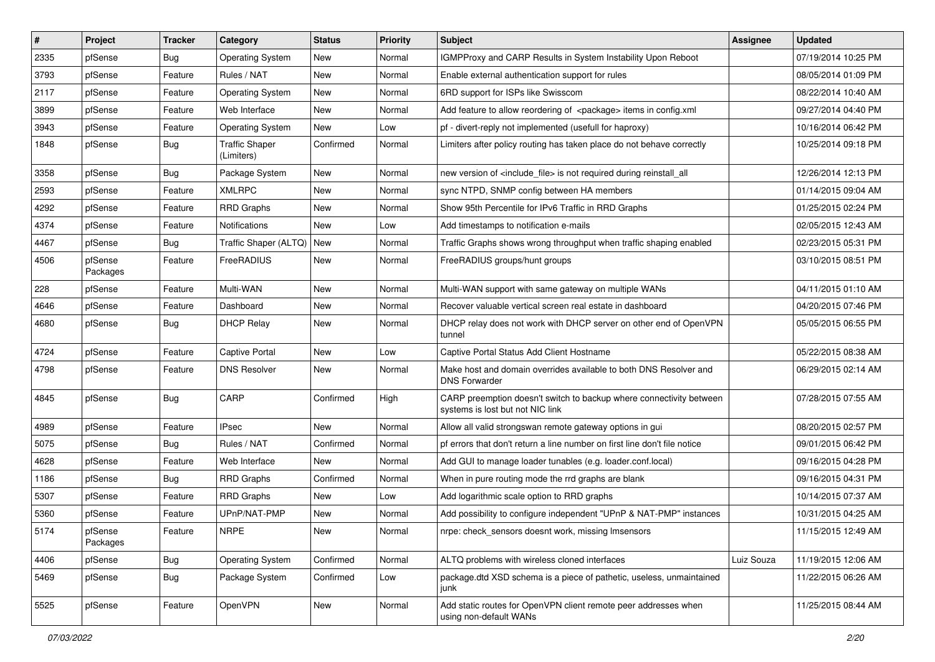| $\pmb{\sharp}$ | Project             | <b>Tracker</b> | Category                            | <b>Status</b> | <b>Priority</b> | <b>Subject</b>                                                                                          | <b>Assignee</b> | <b>Updated</b>      |
|----------------|---------------------|----------------|-------------------------------------|---------------|-----------------|---------------------------------------------------------------------------------------------------------|-----------------|---------------------|
| 2335           | pfSense             | Bug            | <b>Operating System</b>             | New           | Normal          | IGMPProxy and CARP Results in System Instability Upon Reboot                                            |                 | 07/19/2014 10:25 PM |
| 3793           | pfSense             | Feature        | Rules / NAT                         | New           | Normal          | Enable external authentication support for rules                                                        |                 | 08/05/2014 01:09 PM |
| 2117           | pfSense             | Feature        | <b>Operating System</b>             | New           | Normal          | 6RD support for ISPs like Swisscom                                                                      |                 | 08/22/2014 10:40 AM |
| 3899           | pfSense             | Feature        | Web Interface                       | New           | Normal          | Add feature to allow reordering of <package> items in config.xml</package>                              |                 | 09/27/2014 04:40 PM |
| 3943           | pfSense             | Feature        | <b>Operating System</b>             | New           | Low             | pf - divert-reply not implemented (usefull for haproxy)                                                 |                 | 10/16/2014 06:42 PM |
| 1848           | pfSense             | Bug            | <b>Traffic Shaper</b><br>(Limiters) | Confirmed     | Normal          | Limiters after policy routing has taken place do not behave correctly                                   |                 | 10/25/2014 09:18 PM |
| 3358           | pfSense             | Bug            | Package System                      | New           | Normal          | new version of <include file=""> is not required during reinstall all</include>                         |                 | 12/26/2014 12:13 PM |
| 2593           | pfSense             | Feature        | <b>XMLRPC</b>                       | New           | Normal          | sync NTPD, SNMP config between HA members                                                               |                 | 01/14/2015 09:04 AM |
| 4292           | pfSense             | Feature        | <b>RRD Graphs</b>                   | New           | Normal          | Show 95th Percentile for IPv6 Traffic in RRD Graphs                                                     |                 | 01/25/2015 02:24 PM |
| 4374           | pfSense             | Feature        | <b>Notifications</b>                | New           | Low             | Add timestamps to notification e-mails                                                                  |                 | 02/05/2015 12:43 AM |
| 4467           | pfSense             | Bug            | Traffic Shaper (ALTQ)   New         |               | Normal          | Traffic Graphs shows wrong throughput when traffic shaping enabled                                      |                 | 02/23/2015 05:31 PM |
| 4506           | pfSense<br>Packages | Feature        | FreeRADIUS                          | New           | Normal          | FreeRADIUS groups/hunt groups                                                                           |                 | 03/10/2015 08:51 PM |
| 228            | pfSense             | Feature        | Multi-WAN                           | <b>New</b>    | Normal          | Multi-WAN support with same gateway on multiple WANs                                                    |                 | 04/11/2015 01:10 AM |
| 4646           | pfSense             | Feature        | Dashboard                           | <b>New</b>    | Normal          | Recover valuable vertical screen real estate in dashboard                                               |                 | 04/20/2015 07:46 PM |
| 4680           | pfSense             | Bug            | <b>DHCP Relay</b>                   | New           | Normal          | DHCP relay does not work with DHCP server on other end of OpenVPN<br>tunnel                             |                 | 05/05/2015 06:55 PM |
| 4724           | pfSense             | Feature        | Captive Portal                      | New           | Low             | Captive Portal Status Add Client Hostname                                                               |                 | 05/22/2015 08:38 AM |
| 4798           | pfSense             | Feature        | <b>DNS Resolver</b>                 | New           | Normal          | Make host and domain overrides available to both DNS Resolver and<br><b>DNS Forwarder</b>               |                 | 06/29/2015 02:14 AM |
| 4845           | pfSense             | Bug            | CARP                                | Confirmed     | High            | CARP preemption doesn't switch to backup where connectivity between<br>systems is lost but not NIC link |                 | 07/28/2015 07:55 AM |
| 4989           | pfSense             | Feature        | <b>IPsec</b>                        | <b>New</b>    | Normal          | Allow all valid strongswan remote gateway options in gui                                                |                 | 08/20/2015 02:57 PM |
| 5075           | pfSense             | Bug            | Rules / NAT                         | Confirmed     | Normal          | pf errors that don't return a line number on first line don't file notice                               |                 | 09/01/2015 06:42 PM |
| 4628           | pfSense             | Feature        | Web Interface                       | New           | Normal          | Add GUI to manage loader tunables (e.g. loader.conf.local)                                              |                 | 09/16/2015 04:28 PM |
| 1186           | pfSense             | Bug            | <b>RRD Graphs</b>                   | Confirmed     | Normal          | When in pure routing mode the rrd graphs are blank                                                      |                 | 09/16/2015 04:31 PM |
| 5307           | pfSense             | Feature        | <b>RRD Graphs</b>                   | New           | Low             | Add logarithmic scale option to RRD graphs                                                              |                 | 10/14/2015 07:37 AM |
| 5360           | pfSense             | Feature        | UPnP/NAT-PMP                        | New           | Normal          | Add possibility to configure independent "UPnP & NAT-PMP" instances                                     |                 | 10/31/2015 04:25 AM |
| 5174           | pfSense<br>Packages | Feature        | <b>NRPE</b>                         | New           | Normal          | nrpe: check_sensors doesnt work, missing Imsensors                                                      |                 | 11/15/2015 12:49 AM |
| 4406           | pfSense             | Bug            | <b>Operating System</b>             | Confirmed     | Normal          | ALTQ problems with wireless cloned interfaces                                                           | Luiz Souza      | 11/19/2015 12:06 AM |
| 5469           | pfSense             | <b>Bug</b>     | Package System                      | Confirmed     | Low             | package.dtd XSD schema is a piece of pathetic, useless, unmaintained<br>junk                            |                 | 11/22/2015 06:26 AM |
| 5525           | pfSense             | Feature        | OpenVPN                             | New           | Normal          | Add static routes for OpenVPN client remote peer addresses when<br>using non-default WANs               |                 | 11/25/2015 08:44 AM |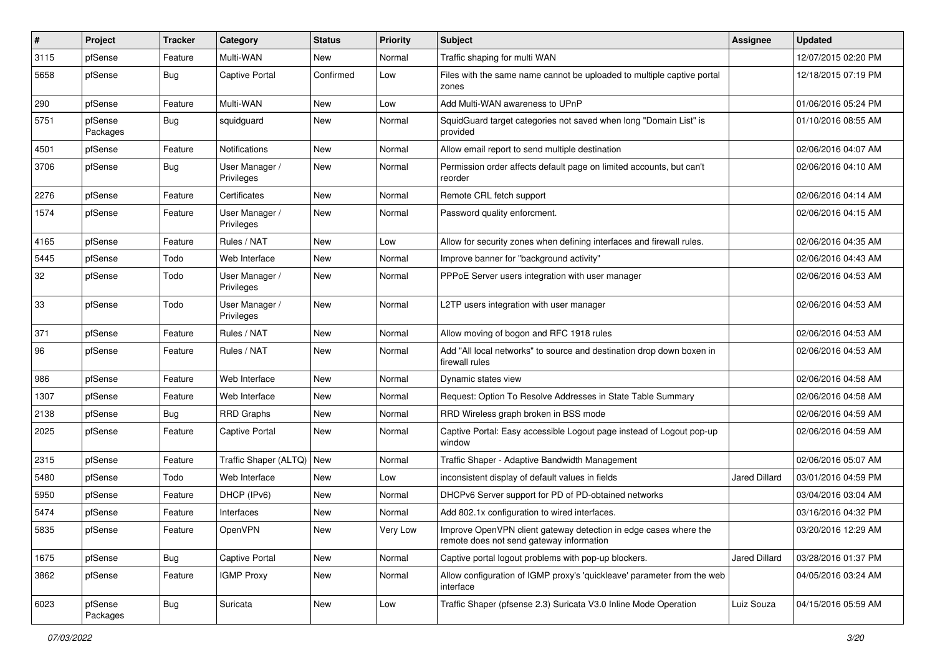| ∦    | Project             | <b>Tracker</b> | Category                     | <b>Status</b> | <b>Priority</b> | <b>Subject</b>                                                                                               | <b>Assignee</b>      | <b>Updated</b>      |
|------|---------------------|----------------|------------------------------|---------------|-----------------|--------------------------------------------------------------------------------------------------------------|----------------------|---------------------|
| 3115 | pfSense             | Feature        | Multi-WAN                    | New           | Normal          | Traffic shaping for multi WAN                                                                                |                      | 12/07/2015 02:20 PM |
| 5658 | pfSense             | <b>Bug</b>     | <b>Captive Portal</b>        | Confirmed     | Low             | Files with the same name cannot be uploaded to multiple captive portal<br>zones                              |                      | 12/18/2015 07:19 PM |
| 290  | pfSense             | Feature        | Multi-WAN                    | New           | Low             | Add Multi-WAN awareness to UPnP                                                                              |                      | 01/06/2016 05:24 PM |
| 5751 | pfSense<br>Packages | Bug            | squidguard                   | New           | Normal          | SquidGuard target categories not saved when long "Domain List" is<br>provided                                |                      | 01/10/2016 08:55 AM |
| 4501 | pfSense             | Feature        | Notifications                | New           | Normal          | Allow email report to send multiple destination                                                              |                      | 02/06/2016 04:07 AM |
| 3706 | pfSense             | Bug            | User Manager /<br>Privileges | New           | Normal          | Permission order affects default page on limited accounts, but can't<br>reorder                              |                      | 02/06/2016 04:10 AM |
| 2276 | pfSense             | Feature        | Certificates                 | <b>New</b>    | Normal          | Remote CRL fetch support                                                                                     |                      | 02/06/2016 04:14 AM |
| 1574 | pfSense             | Feature        | User Manager /<br>Privileges | New           | Normal          | Password quality enforcment.                                                                                 |                      | 02/06/2016 04:15 AM |
| 4165 | pfSense             | Feature        | Rules / NAT                  | New           | Low             | Allow for security zones when defining interfaces and firewall rules.                                        |                      | 02/06/2016 04:35 AM |
| 5445 | pfSense             | Todo           | Web Interface                | New           | Normal          | Improve banner for "background activity"                                                                     |                      | 02/06/2016 04:43 AM |
| 32   | pfSense             | Todo           | User Manager /<br>Privileges | New           | Normal          | PPPoE Server users integration with user manager                                                             |                      | 02/06/2016 04:53 AM |
| 33   | pfSense             | Todo           | User Manager /<br>Privileges | New           | Normal          | L2TP users integration with user manager                                                                     |                      | 02/06/2016 04:53 AM |
| 371  | pfSense             | Feature        | Rules / NAT                  | New           | Normal          | Allow moving of bogon and RFC 1918 rules                                                                     |                      | 02/06/2016 04:53 AM |
| 96   | pfSense             | Feature        | Rules / NAT                  | New           | Normal          | Add "All local networks" to source and destination drop down boxen in<br>firewall rules                      |                      | 02/06/2016 04:53 AM |
| 986  | pfSense             | Feature        | Web Interface                | New           | Normal          | Dynamic states view                                                                                          |                      | 02/06/2016 04:58 AM |
| 1307 | pfSense             | Feature        | Web Interface                | New           | Normal          | Request: Option To Resolve Addresses in State Table Summary                                                  |                      | 02/06/2016 04:58 AM |
| 2138 | pfSense             | <b>Bug</b>     | <b>RRD Graphs</b>            | New           | Normal          | RRD Wireless graph broken in BSS mode                                                                        |                      | 02/06/2016 04:59 AM |
| 2025 | pfSense             | Feature        | <b>Captive Portal</b>        | New           | Normal          | Captive Portal: Easy accessible Logout page instead of Logout pop-up<br>window                               |                      | 02/06/2016 04:59 AM |
| 2315 | pfSense             | Feature        | Traffic Shaper (ALTQ)   New  |               | Normal          | Traffic Shaper - Adaptive Bandwidth Management                                                               |                      | 02/06/2016 05:07 AM |
| 5480 | pfSense             | Todo           | Web Interface                | New           | Low             | inconsistent display of default values in fields                                                             | Jared Dillard        | 03/01/2016 04:59 PM |
| 5950 | pfSense             | Feature        | DHCP (IPv6)                  | New           | Normal          | DHCPv6 Server support for PD of PD-obtained networks                                                         |                      | 03/04/2016 03:04 AM |
| 5474 | pfSense             | Feature        | Interfaces                   | New           | Normal          | Add 802.1x configuration to wired interfaces.                                                                |                      | 03/16/2016 04:32 PM |
| 5835 | pfSense             | Feature        | OpenVPN                      | New           | Very Low        | Improve OpenVPN client gateway detection in edge cases where the<br>remote does not send gateway information |                      | 03/20/2016 12:29 AM |
| 1675 | pfSense             | Bug            | Captive Portal               | New           | Normal          | Captive portal logout problems with pop-up blockers.                                                         | <b>Jared Dillard</b> | 03/28/2016 01:37 PM |
| 3862 | pfSense             | Feature        | <b>IGMP Proxy</b>            | New           | Normal          | Allow configuration of IGMP proxy's 'quickleave' parameter from the web<br>interface                         |                      | 04/05/2016 03:24 AM |
| 6023 | pfSense<br>Packages | <b>Bug</b>     | Suricata                     | New           | Low             | Traffic Shaper (pfsense 2.3) Suricata V3.0 Inline Mode Operation                                             | Luiz Souza           | 04/15/2016 05:59 AM |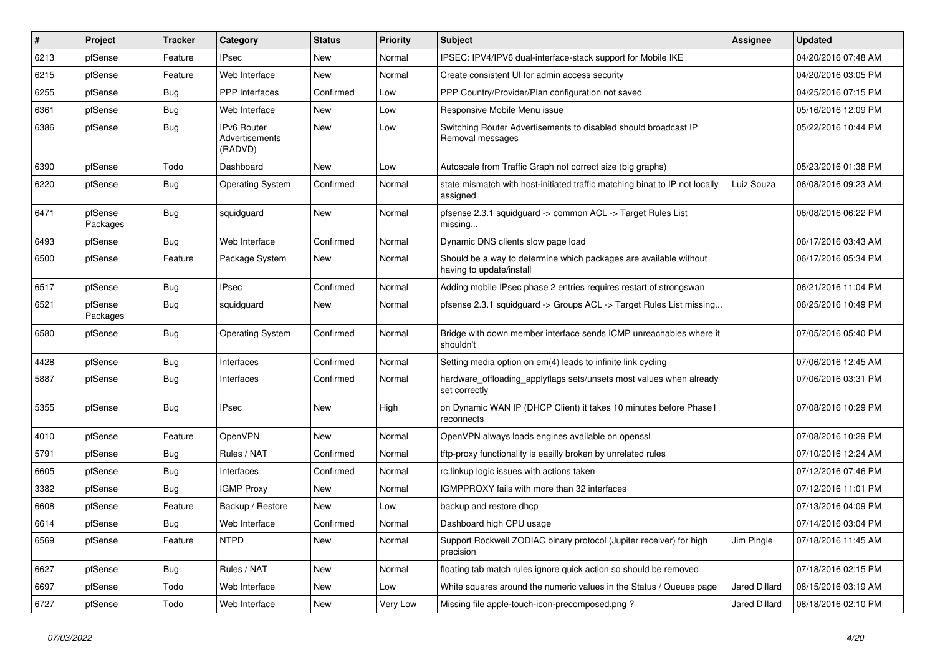| $\vert$ # | Project             | <b>Tracker</b> | Category                                        | <b>Status</b> | Priority | <b>Subject</b>                                                                                | Assignee      | <b>Updated</b>      |
|-----------|---------------------|----------------|-------------------------------------------------|---------------|----------|-----------------------------------------------------------------------------------------------|---------------|---------------------|
| 6213      | pfSense             | Feature        | Psec                                            | New           | Normal   | IPSEC: IPV4/IPV6 dual-interface-stack support for Mobile IKE                                  |               | 04/20/2016 07:48 AM |
| 6215      | pfSense             | Feature        | Web Interface                                   | <b>New</b>    | Normal   | Create consistent UI for admin access security                                                |               | 04/20/2016 03:05 PM |
| 6255      | pfSense             | Bug            | PPP Interfaces                                  | Confirmed     | Low      | PPP Country/Provider/Plan configuration not saved                                             |               | 04/25/2016 07:15 PM |
| 6361      | pfSense             | <b>Bug</b>     | Web Interface                                   | New           | Low      | Responsive Mobile Menu issue                                                                  |               | 05/16/2016 12:09 PM |
| 6386      | pfSense             | <b>Bug</b>     | <b>IPv6 Router</b><br>Advertisements<br>(RADVD) | New           | Low      | Switching Router Advertisements to disabled should broadcast IP<br>Removal messages           |               | 05/22/2016 10:44 PM |
| 6390      | pfSense             | Todo           | Dashboard                                       | <b>New</b>    | Low      | Autoscale from Traffic Graph not correct size (big graphs)                                    |               | 05/23/2016 01:38 PM |
| 6220      | pfSense             | <b>Bug</b>     | <b>Operating System</b>                         | Confirmed     | Normal   | state mismatch with host-initiated traffic matching binat to IP not locally<br>assigned       | Luiz Souza    | 06/08/2016 09:23 AM |
| 6471      | pfSense<br>Packages | Bug            | squidguard                                      | New           | Normal   | pfsense 2.3.1 squidguard -> common ACL -> Target Rules List<br>missing                        |               | 06/08/2016 06:22 PM |
| 6493      | pfSense             | Bug            | Web Interface                                   | Confirmed     | Normal   | Dynamic DNS clients slow page load                                                            |               | 06/17/2016 03:43 AM |
| 6500      | pfSense             | Feature        | Package System                                  | New           | Normal   | Should be a way to determine which packages are available without<br>having to update/install |               | 06/17/2016 05:34 PM |
| 6517      | pfSense             | Bug            | <b>IPsec</b>                                    | Confirmed     | Normal   | Adding mobile IPsec phase 2 entries requires restart of strongswan                            |               | 06/21/2016 11:04 PM |
| 6521      | pfSense<br>Packages | Bug            | squidguard                                      | New           | Normal   | pfsense 2.3.1 squidguard -> Groups ACL -> Target Rules List missing                           |               | 06/25/2016 10:49 PM |
| 6580      | pfSense             | Bug            | <b>Operating System</b>                         | Confirmed     | Normal   | Bridge with down member interface sends ICMP unreachables where it<br>shouldn't               |               | 07/05/2016 05:40 PM |
| 4428      | pfSense             | Bug            | Interfaces                                      | Confirmed     | Normal   | Setting media option on em(4) leads to infinite link cycling                                  |               | 07/06/2016 12:45 AM |
| 5887      | pfSense             | Bug            | Interfaces                                      | Confirmed     | Normal   | hardware_offloading_applyflags sets/unsets most values when already<br>set correctly          |               | 07/06/2016 03:31 PM |
| 5355      | pfSense             | Bug            | <b>IPsec</b>                                    | New           | High     | on Dynamic WAN IP (DHCP Client) it takes 10 minutes before Phase1<br>reconnects               |               | 07/08/2016 10:29 PM |
| 4010      | pfSense             | Feature        | OpenVPN                                         | <b>New</b>    | Normal   | OpenVPN always loads engines available on openssl                                             |               | 07/08/2016 10:29 PM |
| 5791      | pfSense             | Bug            | Rules / NAT                                     | Confirmed     | Normal   | tftp-proxy functionality is easilly broken by unrelated rules                                 |               | 07/10/2016 12:24 AM |
| 6605      | pfSense             | Bug            | Interfaces                                      | Confirmed     | Normal   | rc.linkup logic issues with actions taken                                                     |               | 07/12/2016 07:46 PM |
| 3382      | pfSense             | <b>Bug</b>     | <b>IGMP Proxy</b>                               | <b>New</b>    | Normal   | IGMPPROXY fails with more than 32 interfaces                                                  |               | 07/12/2016 11:01 PM |
| 6608      | pfSense             | Feature        | Backup / Restore                                | New           | Low      | backup and restore dhcp                                                                       |               | 07/13/2016 04:09 PM |
| 6614      | pfSense             | Bug            | Web Interface                                   | Confirmed     | Normal   | Dashboard high CPU usage                                                                      |               | 07/14/2016 03:04 PM |
| 6569      | pfSense             | Feature        | <b>NTPD</b>                                     | New           | Normal   | Support Rockwell ZODIAC binary protocol (Jupiter receiver) for high<br>precision              | Jim Pingle    | 07/18/2016 11:45 AM |
| 6627      | pfSense             | <b>Bug</b>     | Rules / NAT                                     | New           | Normal   | floating tab match rules ignore quick action so should be removed                             |               | 07/18/2016 02:15 PM |
| 6697      | pfSense             | Todo           | Web Interface                                   | New           | Low      | White squares around the numeric values in the Status / Queues page                           | Jared Dillard | 08/15/2016 03:19 AM |
| 6727      | pfSense             | Todo           | Web Interface                                   | New           | Very Low | Missing file apple-touch-icon-precomposed.png?                                                | Jared Dillard | 08/18/2016 02:10 PM |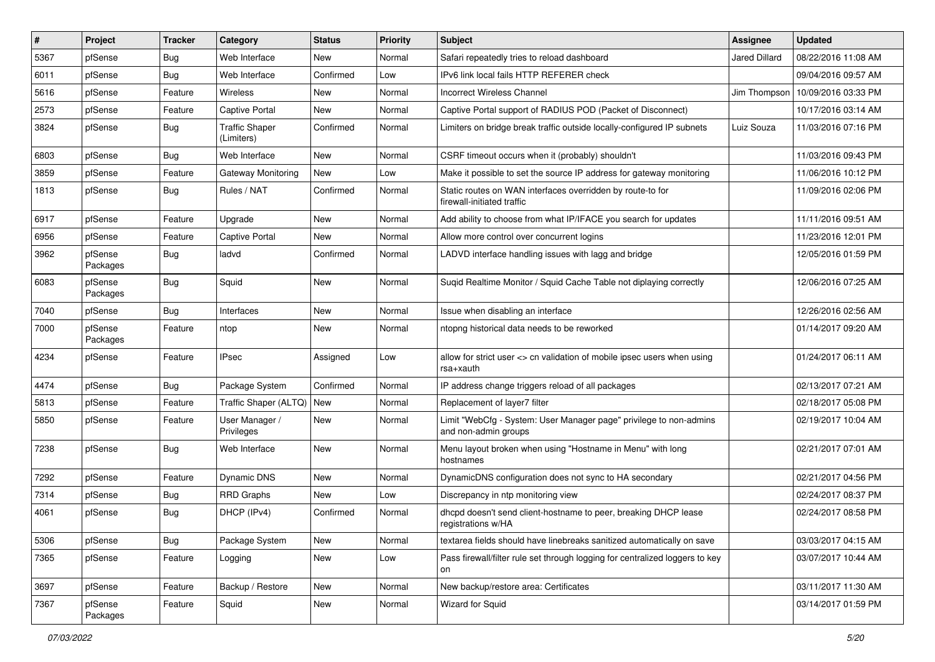| $\vert$ # | Project             | <b>Tracker</b> | Category                            | <b>Status</b> | Priority | Subject                                                                                    | Assignee             | <b>Updated</b>      |
|-----------|---------------------|----------------|-------------------------------------|---------------|----------|--------------------------------------------------------------------------------------------|----------------------|---------------------|
| 5367      | pfSense             | <b>Bug</b>     | Web Interface                       | New           | Normal   | Safari repeatedly tries to reload dashboard                                                | <b>Jared Dillard</b> | 08/22/2016 11:08 AM |
| 6011      | pfSense             | Bug            | Web Interface                       | Confirmed     | Low      | IPv6 link local fails HTTP REFERER check                                                   |                      | 09/04/2016 09:57 AM |
| 5616      | pfSense             | Feature        | <b>Wireless</b>                     | New           | Normal   | <b>Incorrect Wireless Channel</b>                                                          | Jim Thompson         | 10/09/2016 03:33 PM |
| 2573      | pfSense             | Feature        | Captive Portal                      | New           | Normal   | Captive Portal support of RADIUS POD (Packet of Disconnect)                                |                      | 10/17/2016 03:14 AM |
| 3824      | pfSense             | <b>Bug</b>     | <b>Traffic Shaper</b><br>(Limiters) | Confirmed     | Normal   | Limiters on bridge break traffic outside locally-configured IP subnets                     | Luiz Souza           | 11/03/2016 07:16 PM |
| 6803      | pfSense             | Bug            | Web Interface                       | New           | Normal   | CSRF timeout occurs when it (probably) shouldn't                                           |                      | 11/03/2016 09:43 PM |
| 3859      | pfSense             | Feature        | <b>Gateway Monitoring</b>           | New           | Low      | Make it possible to set the source IP address for gateway monitoring                       |                      | 11/06/2016 10:12 PM |
| 1813      | pfSense             | Bug            | Rules / NAT                         | Confirmed     | Normal   | Static routes on WAN interfaces overridden by route-to for<br>firewall-initiated traffic   |                      | 11/09/2016 02:06 PM |
| 6917      | pfSense             | Feature        | Upgrade                             | New           | Normal   | Add ability to choose from what IP/IFACE you search for updates                            |                      | 11/11/2016 09:51 AM |
| 6956      | pfSense             | Feature        | Captive Portal                      | New           | Normal   | Allow more control over concurrent logins                                                  |                      | 11/23/2016 12:01 PM |
| 3962      | pfSense<br>Packages | Bug            | ladvd                               | Confirmed     | Normal   | LADVD interface handling issues with lagg and bridge                                       |                      | 12/05/2016 01:59 PM |
| 6083      | pfSense<br>Packages | Bug            | Squid                               | New           | Normal   | Sugid Realtime Monitor / Squid Cache Table not diplaying correctly                         |                      | 12/06/2016 07:25 AM |
| 7040      | pfSense             | Bug            | Interfaces                          | New           | Normal   | Issue when disabling an interface                                                          |                      | 12/26/2016 02:56 AM |
| 7000      | pfSense<br>Packages | Feature        | ntop                                | New           | Normal   | ntopng historical data needs to be reworked                                                |                      | 01/14/2017 09:20 AM |
| 4234      | pfSense             | Feature        | IPsec                               | Assigned      | Low      | allow for strict user <> cn validation of mobile ipsec users when using<br>rsa+xauth       |                      | 01/24/2017 06:11 AM |
| 4474      | pfSense             | <b>Bug</b>     | Package System                      | Confirmed     | Normal   | IP address change triggers reload of all packages                                          |                      | 02/13/2017 07:21 AM |
| 5813      | pfSense             | Feature        | Traffic Shaper (ALTQ)   New         |               | Normal   | Replacement of layer7 filter                                                               |                      | 02/18/2017 05:08 PM |
| 5850      | pfSense             | Feature        | User Manager /<br>Privileges        | New           | Normal   | Limit "WebCfg - System: User Manager page" privilege to non-admins<br>and non-admin groups |                      | 02/19/2017 10:04 AM |
| 7238      | pfSense             | Bug            | Web Interface                       | New           | Normal   | Menu layout broken when using "Hostname in Menu" with long<br>hostnames                    |                      | 02/21/2017 07:01 AM |
| 7292      | pfSense             | Feature        | Dynamic DNS                         | New           | Normal   | DynamicDNS configuration does not sync to HA secondary                                     |                      | 02/21/2017 04:56 PM |
| 7314      | pfSense             | <b>Bug</b>     | <b>RRD Graphs</b>                   | New           | Low      | Discrepancy in ntp monitoring view                                                         |                      | 02/24/2017 08:37 PM |
| 4061      | pfSense             | Bug            | DHCP (IPv4)                         | Confirmed     | Normal   | dhcpd doesn't send client-hostname to peer, breaking DHCP lease<br>registrations w/HA      |                      | 02/24/2017 08:58 PM |
| 5306      | pfSense             | <b>Bug</b>     | Package System                      | New           | Normal   | textarea fields should have linebreaks sanitized automatically on save                     |                      | 03/03/2017 04:15 AM |
| 7365      | pfSense             | Feature        | Logging                             | New           | Low      | Pass firewall/filter rule set through logging for centralized loggers to key<br>on         |                      | 03/07/2017 10:44 AM |
| 3697      | pfSense             | Feature        | Backup / Restore                    | New           | Normal   | New backup/restore area: Certificates                                                      |                      | 03/11/2017 11:30 AM |
| 7367      | pfSense<br>Packages | Feature        | Squid                               | New           | Normal   | Wizard for Squid                                                                           |                      | 03/14/2017 01:59 PM |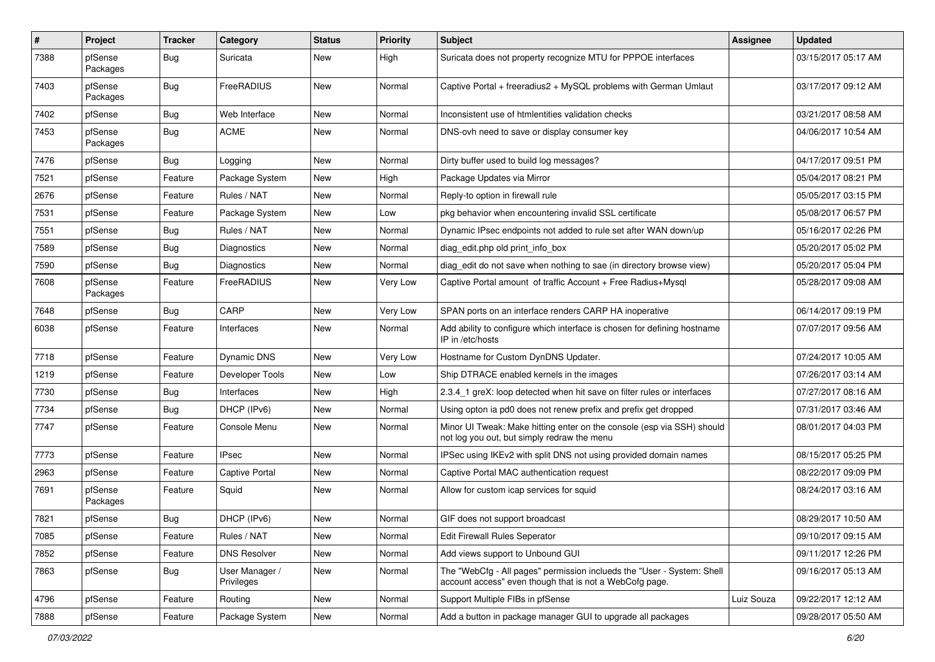| $\vert$ # | Project             | <b>Tracker</b> | Category                     | <b>Status</b> | <b>Priority</b> | <b>Subject</b>                                                                                                                    | Assignee   | <b>Updated</b>      |
|-----------|---------------------|----------------|------------------------------|---------------|-----------------|-----------------------------------------------------------------------------------------------------------------------------------|------------|---------------------|
| 7388      | pfSense<br>Packages | Bug            | Suricata                     | New           | High            | Suricata does not property recognize MTU for PPPOE interfaces                                                                     |            | 03/15/2017 05:17 AM |
| 7403      | pfSense<br>Packages | Bug            | FreeRADIUS                   | New           | Normal          | Captive Portal + freeradius2 + MySQL problems with German Umlaut                                                                  |            | 03/17/2017 09:12 AM |
| 7402      | pfSense             | Bug            | Web Interface                | New           | Normal          | Inconsistent use of htmlentities validation checks                                                                                |            | 03/21/2017 08:58 AM |
| 7453      | pfSense<br>Packages | Bug            | <b>ACME</b>                  | New           | Normal          | DNS-ovh need to save or display consumer key                                                                                      |            | 04/06/2017 10:54 AM |
| 7476      | pfSense             | Bug            | Logging                      | <b>New</b>    | Normal          | Dirty buffer used to build log messages?                                                                                          |            | 04/17/2017 09:51 PM |
| 7521      | pfSense             | Feature        | Package System               | New           | High            | Package Updates via Mirror                                                                                                        |            | 05/04/2017 08:21 PM |
| 2676      | pfSense             | Feature        | Rules / NAT                  | <b>New</b>    | Normal          | Reply-to option in firewall rule                                                                                                  |            | 05/05/2017 03:15 PM |
| 7531      | pfSense             | Feature        | Package System               | New           | Low             | pkg behavior when encountering invalid SSL certificate                                                                            |            | 05/08/2017 06:57 PM |
| 7551      | pfSense             | Bug            | Rules / NAT                  | New           | Normal          | Dynamic IPsec endpoints not added to rule set after WAN down/up                                                                   |            | 05/16/2017 02:26 PM |
| 7589      | pfSense             | Bug            | Diagnostics                  | New           | Normal          | diag edit.php old print info box                                                                                                  |            | 05/20/2017 05:02 PM |
| 7590      | pfSense             | <b>Bug</b>     | Diagnostics                  | New           | Normal          | diag edit do not save when nothing to sae (in directory browse view)                                                              |            | 05/20/2017 05:04 PM |
| 7608      | pfSense<br>Packages | Feature        | FreeRADIUS                   | New           | Very Low        | Captive Portal amount of traffic Account + Free Radius+Mysql                                                                      |            | 05/28/2017 09:08 AM |
| 7648      | pfSense             | Bug            | CARP                         | New           | Very Low        | SPAN ports on an interface renders CARP HA inoperative                                                                            |            | 06/14/2017 09:19 PM |
| 6038      | pfSense             | Feature        | Interfaces                   | New           | Normal          | Add ability to configure which interface is chosen for defining hostname<br>IP in /etc/hosts                                      |            | 07/07/2017 09:56 AM |
| 7718      | pfSense             | Feature        | Dynamic DNS                  | New           | Very Low        | Hostname for Custom DynDNS Updater.                                                                                               |            | 07/24/2017 10:05 AM |
| 1219      | pfSense             | Feature        | Developer Tools              | New           | Low             | Ship DTRACE enabled kernels in the images                                                                                         |            | 07/26/2017 03:14 AM |
| 7730      | pfSense             | <b>Bug</b>     | Interfaces                   | New           | High            | 2.3.4 1 greX: loop detected when hit save on filter rules or interfaces                                                           |            | 07/27/2017 08:16 AM |
| 7734      | pfSense             | Bug            | DHCP (IPv6)                  | New           | Normal          | Using opton ia pd0 does not renew prefix and prefix get dropped                                                                   |            | 07/31/2017 03:46 AM |
| 7747      | pfSense             | Feature        | Console Menu                 | New           | Normal          | Minor UI Tweak: Make hitting enter on the console (esp via SSH) should<br>not log you out, but simply redraw the menu             |            | 08/01/2017 04:03 PM |
| 7773      | pfSense             | Feature        | <b>IPsec</b>                 | New           | Normal          | IPSec using IKEv2 with split DNS not using provided domain names                                                                  |            | 08/15/2017 05:25 PM |
| 2963      | pfSense             | Feature        | <b>Captive Portal</b>        | New           | Normal          | Captive Portal MAC authentication request                                                                                         |            | 08/22/2017 09:09 PM |
| 7691      | pfSense<br>Packages | Feature        | Squid                        | New           | Normal          | Allow for custom icap services for squid                                                                                          |            | 08/24/2017 03:16 AM |
| 7821      | pfSense             | Bug            | DHCP (IPv6)                  | New           | Normal          | GIF does not support broadcast                                                                                                    |            | 08/29/2017 10:50 AM |
| 7085      | pfSense             | Feature        | Rules / NAT                  | New           | Normal          | Edit Firewall Rules Seperator                                                                                                     |            | 09/10/2017 09:15 AM |
| 7852      | pfSense             | Feature        | <b>DNS Resolver</b>          | New           | Normal          | Add views support to Unbound GUI                                                                                                  |            | 09/11/2017 12:26 PM |
| 7863      | pfSense             | <b>Bug</b>     | User Manager /<br>Privileges | New           | Normal          | The "WebCfg - All pages" permission inclueds the "User - System: Shell<br>account access" even though that is not a WebCofg page. |            | 09/16/2017 05:13 AM |
| 4796      | pfSense             | Feature        | Routing                      | New           | Normal          | Support Multiple FIBs in pfSense                                                                                                  | Luiz Souza | 09/22/2017 12:12 AM |
| 7888      | pfSense             | Feature        | Package System               | New           | Normal          | Add a button in package manager GUI to upgrade all packages                                                                       |            | 09/28/2017 05:50 AM |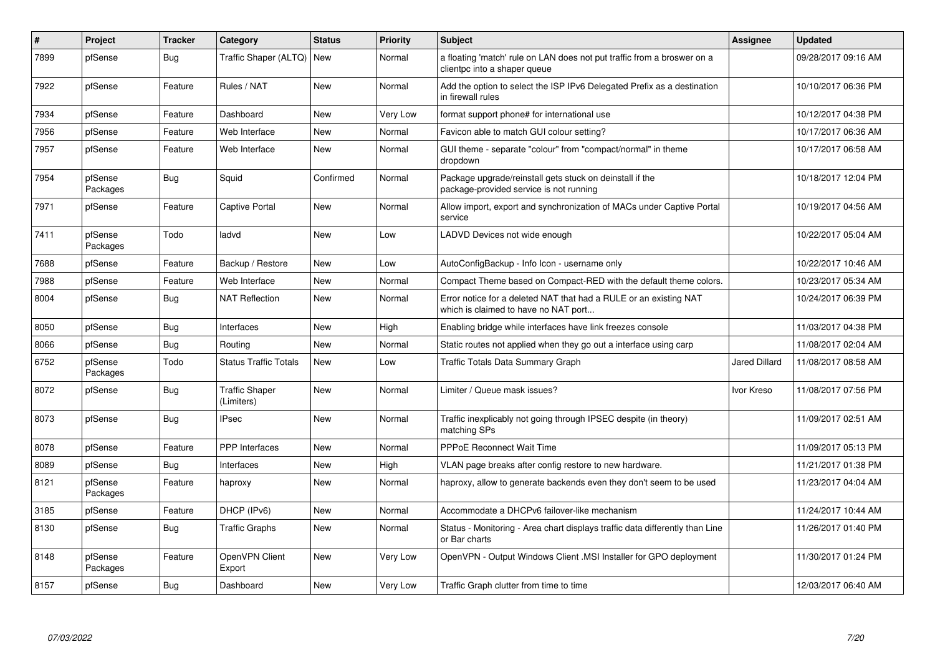| ∦    | Project             | <b>Tracker</b> | Category                            | <b>Status</b> | <b>Priority</b> | Subject                                                                                                   | <b>Assignee</b>      | <b>Updated</b>      |
|------|---------------------|----------------|-------------------------------------|---------------|-----------------|-----------------------------------------------------------------------------------------------------------|----------------------|---------------------|
| 7899 | pfSense             | Bug            | Traffic Shaper (ALTQ)               | <b>New</b>    | Normal          | a floating 'match' rule on LAN does not put traffic from a broswer on a<br>clientpc into a shaper queue   |                      | 09/28/2017 09:16 AM |
| 7922 | pfSense             | Feature        | Rules / NAT                         | <b>New</b>    | Normal          | Add the option to select the ISP IPv6 Delegated Prefix as a destination<br>in firewall rules              |                      | 10/10/2017 06:36 PM |
| 7934 | pfSense             | Feature        | Dashboard                           | New           | <b>Very Low</b> | format support phone# for international use                                                               |                      | 10/12/2017 04:38 PM |
| 7956 | pfSense             | Feature        | Web Interface                       | New           | Normal          | Favicon able to match GUI colour setting?                                                                 |                      | 10/17/2017 06:36 AM |
| 7957 | pfSense             | Feature        | Web Interface                       | New           | Normal          | GUI theme - separate "colour" from "compact/normal" in theme<br>dropdown                                  |                      | 10/17/2017 06:58 AM |
| 7954 | pfSense<br>Packages | Bug            | Squid                               | Confirmed     | Normal          | Package upgrade/reinstall gets stuck on deinstall if the<br>package-provided service is not running       |                      | 10/18/2017 12:04 PM |
| 7971 | pfSense             | Feature        | <b>Captive Portal</b>               | New           | Normal          | Allow import, export and synchronization of MACs under Captive Portal<br>service                          |                      | 10/19/2017 04:56 AM |
| 7411 | pfSense<br>Packages | Todo           | ladvd                               | <b>New</b>    | Low             | LADVD Devices not wide enough                                                                             |                      | 10/22/2017 05:04 AM |
| 7688 | pfSense             | Feature        | Backup / Restore                    | <b>New</b>    | Low             | AutoConfigBackup - Info Icon - username only                                                              |                      | 10/22/2017 10:46 AM |
| 7988 | pfSense             | Feature        | Web Interface                       | New           | Normal          | Compact Theme based on Compact-RED with the default theme colors.                                         |                      | 10/23/2017 05:34 AM |
| 8004 | pfSense             | Bug            | <b>NAT Reflection</b>               | <b>New</b>    | Normal          | Error notice for a deleted NAT that had a RULE or an existing NAT<br>which is claimed to have no NAT port |                      | 10/24/2017 06:39 PM |
| 8050 | pfSense             | Bug            | Interfaces                          | <b>New</b>    | High            | Enabling bridge while interfaces have link freezes console                                                |                      | 11/03/2017 04:38 PM |
| 8066 | pfSense             | Bug            | Routing                             | <b>New</b>    | Normal          | Static routes not applied when they go out a interface using carp                                         |                      | 11/08/2017 02:04 AM |
| 6752 | pfSense<br>Packages | Todo           | <b>Status Traffic Totals</b>        | New           | Low             | Traffic Totals Data Summary Graph                                                                         | <b>Jared Dillard</b> | 11/08/2017 08:58 AM |
| 8072 | pfSense             | Bug            | <b>Traffic Shaper</b><br>(Limiters) | New           | Normal          | Limiter / Queue mask issues?                                                                              | Ivor Kreso           | 11/08/2017 07:56 PM |
| 8073 | pfSense             | Bug            | <b>IPsec</b>                        | New           | Normal          | Traffic inexplicably not going through IPSEC despite (in theory)<br>matching SPs                          |                      | 11/09/2017 02:51 AM |
| 8078 | pfSense             | Feature        | <b>PPP</b> Interfaces               | New           | Normal          | <b>PPPoE Reconnect Wait Time</b>                                                                          |                      | 11/09/2017 05:13 PM |
| 8089 | pfSense             | Bug            | Interfaces                          | <b>New</b>    | High            | VLAN page breaks after config restore to new hardware.                                                    |                      | 11/21/2017 01:38 PM |
| 8121 | pfSense<br>Packages | Feature        | haproxy                             | New           | Normal          | haproxy, allow to generate backends even they don't seem to be used                                       |                      | 11/23/2017 04:04 AM |
| 3185 | pfSense             | Feature        | DHCP (IPv6)                         | <b>New</b>    | Normal          | Accommodate a DHCPv6 failover-like mechanism                                                              |                      | 11/24/2017 10:44 AM |
| 8130 | pfSense             | <b>Bug</b>     | <b>Traffic Graphs</b>               | New           | Normal          | Status - Monitoring - Area chart displays traffic data differently than Line<br>or Bar charts             |                      | 11/26/2017 01:40 PM |
| 8148 | pfSense<br>Packages | Feature        | OpenVPN Client<br>Export            | <b>New</b>    | Very Low        | OpenVPN - Output Windows Client .MSI Installer for GPO deployment                                         |                      | 11/30/2017 01:24 PM |
| 8157 | pfSense             | Bug            | Dashboard                           | <b>New</b>    | <b>Very Low</b> | Traffic Graph clutter from time to time                                                                   |                      | 12/03/2017 06:40 AM |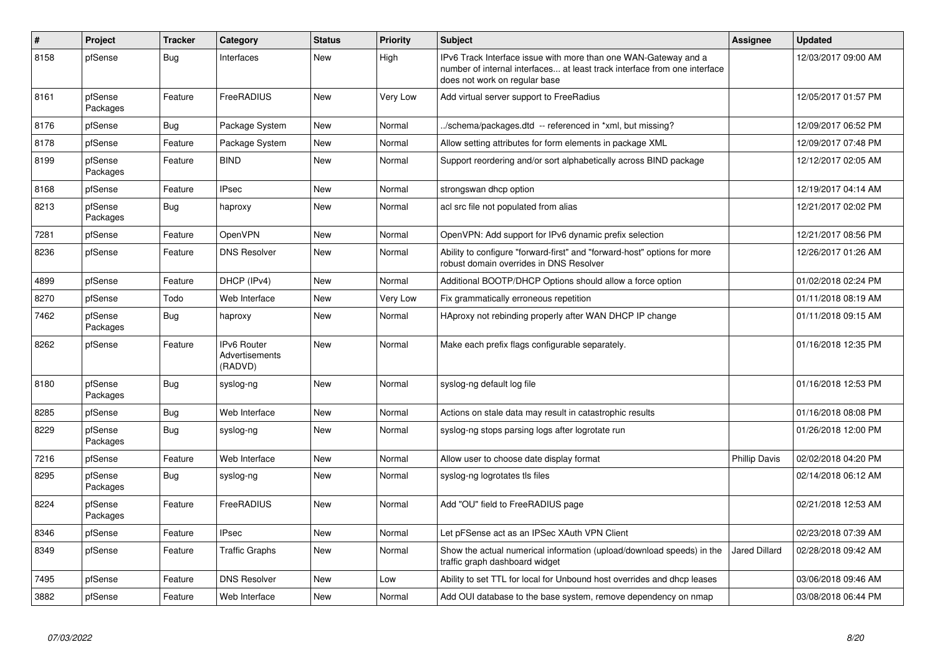| #    | Project             | <b>Tracker</b> | Category                                 | <b>Status</b> | <b>Priority</b> | <b>Subject</b>                                                                                                                                                                | Assignee             | <b>Updated</b>      |
|------|---------------------|----------------|------------------------------------------|---------------|-----------------|-------------------------------------------------------------------------------------------------------------------------------------------------------------------------------|----------------------|---------------------|
| 8158 | pfSense             | Bug            | Interfaces                               | <b>New</b>    | High            | IPv6 Track Interface issue with more than one WAN-Gateway and a<br>number of internal interfaces at least track interface from one interface<br>does not work on regular base |                      | 12/03/2017 09:00 AM |
| 8161 | pfSense<br>Packages | Feature        | FreeRADIUS                               | New           | Very Low        | Add virtual server support to FreeRadius                                                                                                                                      |                      | 12/05/2017 01:57 PM |
| 8176 | pfSense             | Bug            | Package System                           | New           | Normal          | ./schema/packages.dtd -- referenced in *xml, but missing?                                                                                                                     |                      | 12/09/2017 06:52 PM |
| 8178 | pfSense             | Feature        | Package System                           | <b>New</b>    | Normal          | Allow setting attributes for form elements in package XML                                                                                                                     |                      | 12/09/2017 07:48 PM |
| 8199 | pfSense<br>Packages | Feature        | <b>BIND</b>                              | New           | Normal          | Support reordering and/or sort alphabetically across BIND package                                                                                                             |                      | 12/12/2017 02:05 AM |
| 8168 | pfSense             | Feature        | <b>IPsec</b>                             | <b>New</b>    | Normal          | strongswan dhcp option                                                                                                                                                        |                      | 12/19/2017 04:14 AM |
| 8213 | pfSense<br>Packages | Bug            | haproxy                                  | New           | Normal          | acl src file not populated from alias                                                                                                                                         |                      | 12/21/2017 02:02 PM |
| 7281 | pfSense             | Feature        | OpenVPN                                  | <b>New</b>    | Normal          | OpenVPN: Add support for IPv6 dynamic prefix selection                                                                                                                        |                      | 12/21/2017 08:56 PM |
| 8236 | pfSense             | Feature        | <b>DNS Resolver</b>                      | <b>New</b>    | Normal          | Ability to configure "forward-first" and "forward-host" options for more<br>robust domain overrides in DNS Resolver                                                           |                      | 12/26/2017 01:26 AM |
| 4899 | pfSense             | Feature        | DHCP (IPv4)                              | <b>New</b>    | Normal          | Additional BOOTP/DHCP Options should allow a force option                                                                                                                     |                      | 01/02/2018 02:24 PM |
| 8270 | pfSense             | Todo           | Web Interface                            | New           | Very Low        | Fix grammatically erroneous repetition                                                                                                                                        |                      | 01/11/2018 08:19 AM |
| 7462 | pfSense<br>Packages | <b>Bug</b>     | haproxy                                  | New           | Normal          | HAproxy not rebinding properly after WAN DHCP IP change                                                                                                                       |                      | 01/11/2018 09:15 AM |
| 8262 | pfSense             | Feature        | IPv6 Router<br>Advertisements<br>(RADVD) | New           | Normal          | Make each prefix flags configurable separately.                                                                                                                               |                      | 01/16/2018 12:35 PM |
| 8180 | pfSense<br>Packages | Bug            | syslog-ng                                | <b>New</b>    | Normal          | syslog-ng default log file                                                                                                                                                    |                      | 01/16/2018 12:53 PM |
| 8285 | pfSense             | Bug            | Web Interface                            | New           | Normal          | Actions on stale data may result in catastrophic results                                                                                                                      |                      | 01/16/2018 08:08 PM |
| 8229 | pfSense<br>Packages | Bug            | syslog-ng                                | New           | Normal          | syslog-ng stops parsing logs after logrotate run                                                                                                                              |                      | 01/26/2018 12:00 PM |
| 7216 | pfSense             | Feature        | Web Interface                            | <b>New</b>    | Normal          | Allow user to choose date display format                                                                                                                                      | <b>Phillip Davis</b> | 02/02/2018 04:20 PM |
| 8295 | pfSense<br>Packages | <b>Bug</b>     | syslog-ng                                | <b>New</b>    | Normal          | syslog-ng logrotates tls files                                                                                                                                                |                      | 02/14/2018 06:12 AM |
| 8224 | pfSense<br>Packages | Feature        | FreeRADIUS                               | <b>New</b>    | Normal          | Add "OU" field to FreeRADIUS page                                                                                                                                             |                      | 02/21/2018 12:53 AM |
| 8346 | pfSense             | Feature        | <b>IPsec</b>                             | <b>New</b>    | Normal          | Let pFSense act as an IPSec XAuth VPN Client                                                                                                                                  |                      | 02/23/2018 07:39 AM |
| 8349 | pfSense             | Feature        | <b>Traffic Graphs</b>                    | New           | Normal          | Show the actual numerical information (upload/download speeds) in the<br>traffic graph dashboard widget                                                                       | <b>Jared Dillard</b> | 02/28/2018 09:42 AM |
| 7495 | pfSense             | Feature        | <b>DNS Resolver</b>                      | New           | Low             | Ability to set TTL for local for Unbound host overrides and dhcp leases                                                                                                       |                      | 03/06/2018 09:46 AM |
| 3882 | pfSense             | Feature        | Web Interface                            | New           | Normal          | Add OUI database to the base system, remove dependency on nmap                                                                                                                |                      | 03/08/2018 06:44 PM |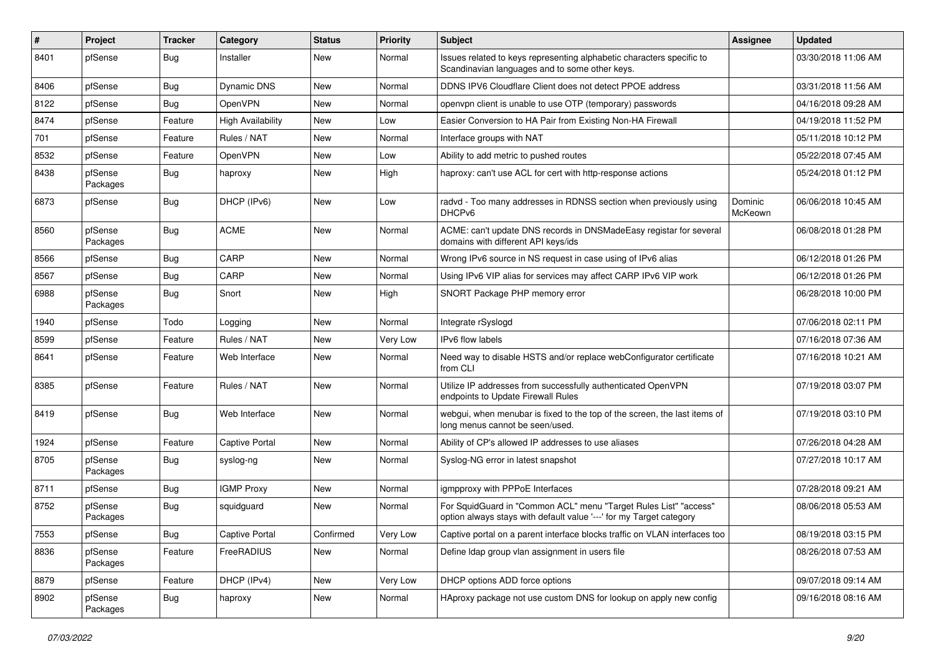| $\vert$ # | Project             | <b>Tracker</b> | Category                 | <b>Status</b> | <b>Priority</b> | <b>Subject</b>                                                                                                                          | <b>Assignee</b>    | <b>Updated</b>      |
|-----------|---------------------|----------------|--------------------------|---------------|-----------------|-----------------------------------------------------------------------------------------------------------------------------------------|--------------------|---------------------|
| 8401      | pfSense             | Bug            | Installer                | New           | Normal          | Issues related to keys representing alphabetic characters specific to<br>Scandinavian languages and to some other keys.                 |                    | 03/30/2018 11:06 AM |
| 8406      | pfSense             | Bug            | Dynamic DNS              | New           | Normal          | DDNS IPV6 Cloudflare Client does not detect PPOE address                                                                                |                    | 03/31/2018 11:56 AM |
| 8122      | pfSense             | Bug            | OpenVPN                  | New           | Normal          | openypn client is unable to use OTP (temporary) passwords                                                                               |                    | 04/16/2018 09:28 AM |
| 8474      | pfSense             | Feature        | <b>High Availability</b> | New           | Low             | Easier Conversion to HA Pair from Existing Non-HA Firewall                                                                              |                    | 04/19/2018 11:52 PM |
| 701       | pfSense             | Feature        | Rules / NAT              | New           | Normal          | Interface groups with NAT                                                                                                               |                    | 05/11/2018 10:12 PM |
| 8532      | pfSense             | Feature        | OpenVPN                  | New           | Low             | Ability to add metric to pushed routes                                                                                                  |                    | 05/22/2018 07:45 AM |
| 8438      | pfSense<br>Packages | Bug            | haproxy                  | New           | High            | haproxy: can't use ACL for cert with http-response actions                                                                              |                    | 05/24/2018 01:12 PM |
| 6873      | pfSense             | Bug            | DHCP (IPv6)              | New           | Low             | radvd - Too many addresses in RDNSS section when previously using<br>DHCP <sub>v6</sub>                                                 | Dominic<br>McKeown | 06/06/2018 10:45 AM |
| 8560      | pfSense<br>Packages | Bug            | <b>ACME</b>              | <b>New</b>    | Normal          | ACME: can't update DNS records in DNSMadeEasy registar for several<br>domains with different API keys/ids                               |                    | 06/08/2018 01:28 PM |
| 8566      | pfSense             | Bug            | CARP                     | New           | Normal          | Wrong IPv6 source in NS request in case using of IPv6 alias                                                                             |                    | 06/12/2018 01:26 PM |
| 8567      | pfSense             | Bug            | CARP                     | New           | Normal          | Using IPv6 VIP alias for services may affect CARP IPv6 VIP work                                                                         |                    | 06/12/2018 01:26 PM |
| 6988      | pfSense<br>Packages | <b>Bug</b>     | Snort                    | New           | High            | SNORT Package PHP memory error                                                                                                          |                    | 06/28/2018 10:00 PM |
| 1940      | pfSense             | Todo           | Logging                  | New           | Normal          | Integrate rSyslogd                                                                                                                      |                    | 07/06/2018 02:11 PM |
| 8599      | pfSense             | Feature        | Rules / NAT              | New           | Very Low        | IPv6 flow labels                                                                                                                        |                    | 07/16/2018 07:36 AM |
| 8641      | pfSense             | Feature        | Web Interface            | New           | Normal          | Need way to disable HSTS and/or replace webConfigurator certificate<br>from CLI                                                         |                    | 07/16/2018 10:21 AM |
| 8385      | pfSense             | Feature        | Rules / NAT              | New           | Normal          | Utilize IP addresses from successfully authenticated OpenVPN<br>endpoints to Update Firewall Rules                                      |                    | 07/19/2018 03:07 PM |
| 8419      | pfSense             | Bug            | Web Interface            | New           | Normal          | webgui, when menubar is fixed to the top of the screen, the last items of<br>long menus cannot be seen/used.                            |                    | 07/19/2018 03:10 PM |
| 1924      | pfSense             | Feature        | <b>Captive Portal</b>    | New           | Normal          | Ability of CP's allowed IP addresses to use aliases                                                                                     |                    | 07/26/2018 04:28 AM |
| 8705      | pfSense<br>Packages | Bug            | syslog-ng                | <b>New</b>    | Normal          | Syslog-NG error in latest snapshot                                                                                                      |                    | 07/27/2018 10:17 AM |
| 8711      | pfSense             | <b>Bug</b>     | <b>IGMP Proxy</b>        | New           | Normal          | igmpproxy with PPPoE Interfaces                                                                                                         |                    | 07/28/2018 09:21 AM |
| 8752      | pfSense<br>Packages | Bug            | squidguard               | New           | Normal          | For SquidGuard in "Common ACL" menu "Target Rules List" "access"<br>option always stays with default value '---' for my Target category |                    | 08/06/2018 05:53 AM |
| 7553      | pfSense             | Bug            | <b>Captive Portal</b>    | Confirmed     | Very Low        | Captive portal on a parent interface blocks traffic on VLAN interfaces too                                                              |                    | 08/19/2018 03:15 PM |
| 8836      | pfSense<br>Packages | Feature        | FreeRADIUS               | New           | Normal          | Define Idap group vlan assignment in users file                                                                                         |                    | 08/26/2018 07:53 AM |
| 8879      | pfSense             | Feature        | DHCP (IPv4)              | New           | Very Low        | DHCP options ADD force options                                                                                                          |                    | 09/07/2018 09:14 AM |
| 8902      | pfSense<br>Packages | Bug            | haproxy                  | New           | Normal          | HAproxy package not use custom DNS for lookup on apply new config                                                                       |                    | 09/16/2018 08:16 AM |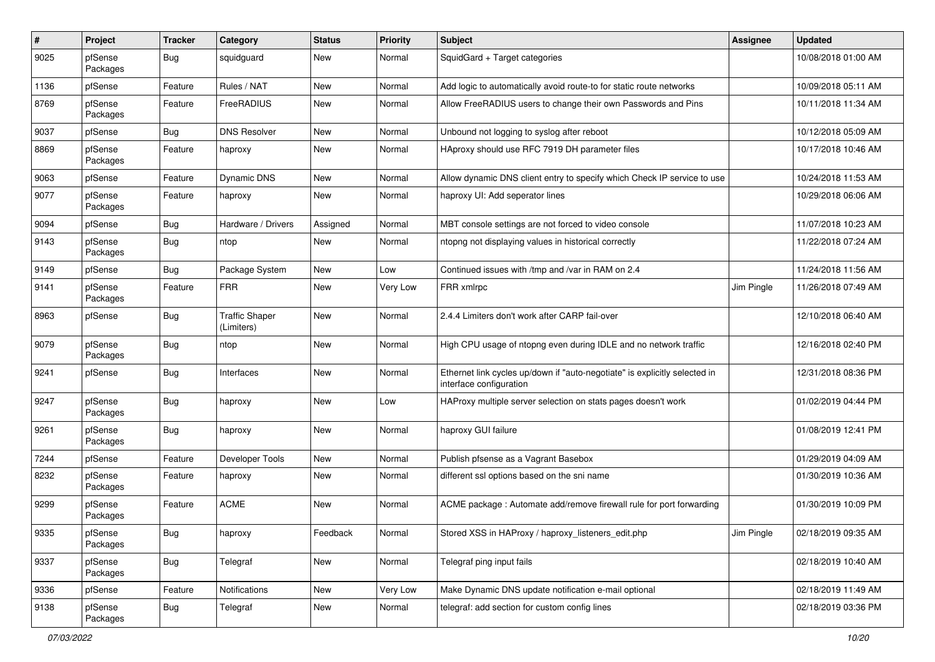| #    | Project             | <b>Tracker</b> | Category                            | <b>Status</b> | Priority | <b>Subject</b>                                                                                        | <b>Assignee</b> | <b>Updated</b>      |
|------|---------------------|----------------|-------------------------------------|---------------|----------|-------------------------------------------------------------------------------------------------------|-----------------|---------------------|
| 9025 | pfSense<br>Packages | <b>Bug</b>     | squidguard                          | New           | Normal   | SquidGard + Target categories                                                                         |                 | 10/08/2018 01:00 AM |
| 1136 | pfSense             | Feature        | Rules / NAT                         | <b>New</b>    | Normal   | Add logic to automatically avoid route-to for static route networks                                   |                 | 10/09/2018 05:11 AM |
| 8769 | pfSense<br>Packages | Feature        | FreeRADIUS                          | New           | Normal   | Allow FreeRADIUS users to change their own Passwords and Pins                                         |                 | 10/11/2018 11:34 AM |
| 9037 | pfSense             | Bug            | <b>DNS Resolver</b>                 | <b>New</b>    | Normal   | Unbound not logging to syslog after reboot                                                            |                 | 10/12/2018 05:09 AM |
| 8869 | pfSense<br>Packages | Feature        | haproxy                             | New           | Normal   | HAproxy should use RFC 7919 DH parameter files                                                        |                 | 10/17/2018 10:46 AM |
| 9063 | pfSense             | Feature        | <b>Dynamic DNS</b>                  | New           | Normal   | Allow dynamic DNS client entry to specify which Check IP service to use                               |                 | 10/24/2018 11:53 AM |
| 9077 | pfSense<br>Packages | Feature        | haproxy                             | New           | Normal   | haproxy UI: Add seperator lines                                                                       |                 | 10/29/2018 06:06 AM |
| 9094 | pfSense             | <b>Bug</b>     | Hardware / Drivers                  | Assigned      | Normal   | MBT console settings are not forced to video console                                                  |                 | 11/07/2018 10:23 AM |
| 9143 | pfSense<br>Packages | <b>Bug</b>     | ntop                                | New           | Normal   | ntopng not displaying values in historical correctly                                                  |                 | 11/22/2018 07:24 AM |
| 9149 | pfSense             | <b>Bug</b>     | Package System                      | <b>New</b>    | Low      | Continued issues with /tmp and /var in RAM on 2.4                                                     |                 | 11/24/2018 11:56 AM |
| 9141 | pfSense<br>Packages | Feature        | <b>FRR</b>                          | <b>New</b>    | Very Low | FRR xmlrpc                                                                                            | Jim Pingle      | 11/26/2018 07:49 AM |
| 8963 | pfSense             | <b>Bug</b>     | <b>Traffic Shaper</b><br>(Limiters) | <b>New</b>    | Normal   | 2.4.4 Limiters don't work after CARP fail-over                                                        |                 | 12/10/2018 06:40 AM |
| 9079 | pfSense<br>Packages | <b>Bug</b>     | ntop                                | <b>New</b>    | Normal   | High CPU usage of ntopng even during IDLE and no network traffic                                      |                 | 12/16/2018 02:40 PM |
| 9241 | pfSense             | <b>Bug</b>     | Interfaces                          | <b>New</b>    | Normal   | Ethernet link cycles up/down if "auto-negotiate" is explicitly selected in<br>interface configuration |                 | 12/31/2018 08:36 PM |
| 9247 | pfSense<br>Packages | <b>Bug</b>     | haproxy                             | <b>New</b>    | Low      | HAProxy multiple server selection on stats pages doesn't work                                         |                 | 01/02/2019 04:44 PM |
| 9261 | pfSense<br>Packages | <b>Bug</b>     | haproxy                             | New           | Normal   | haproxy GUI failure                                                                                   |                 | 01/08/2019 12:41 PM |
| 7244 | pfSense             | Feature        | Developer Tools                     | New           | Normal   | Publish pfsense as a Vagrant Basebox                                                                  |                 | 01/29/2019 04:09 AM |
| 8232 | pfSense<br>Packages | Feature        | haproxy                             | New           | Normal   | different ssl options based on the sni name                                                           |                 | 01/30/2019 10:36 AM |
| 9299 | pfSense<br>Packages | Feature        | <b>ACME</b>                         | <b>New</b>    | Normal   | ACME package: Automate add/remove firewall rule for port forwarding                                   |                 | 01/30/2019 10:09 PM |
| 9335 | pfSense<br>Packages | <b>Bug</b>     | haproxy                             | Feedback      | Normal   | Stored XSS in HAProxy / haproxy_listeners_edit.php                                                    | Jim Pingle      | 02/18/2019 09:35 AM |
| 9337 | pfSense<br>Packages | <b>Bug</b>     | Telegraf                            | New           | Normal   | Telegraf ping input fails                                                                             |                 | 02/18/2019 10:40 AM |
| 9336 | pfSense             | Feature        | Notifications                       | New           | Very Low | Make Dynamic DNS update notification e-mail optional                                                  |                 | 02/18/2019 11:49 AM |
| 9138 | pfSense<br>Packages | Bug            | Telegraf                            | New           | Normal   | telegraf: add section for custom config lines                                                         |                 | 02/18/2019 03:36 PM |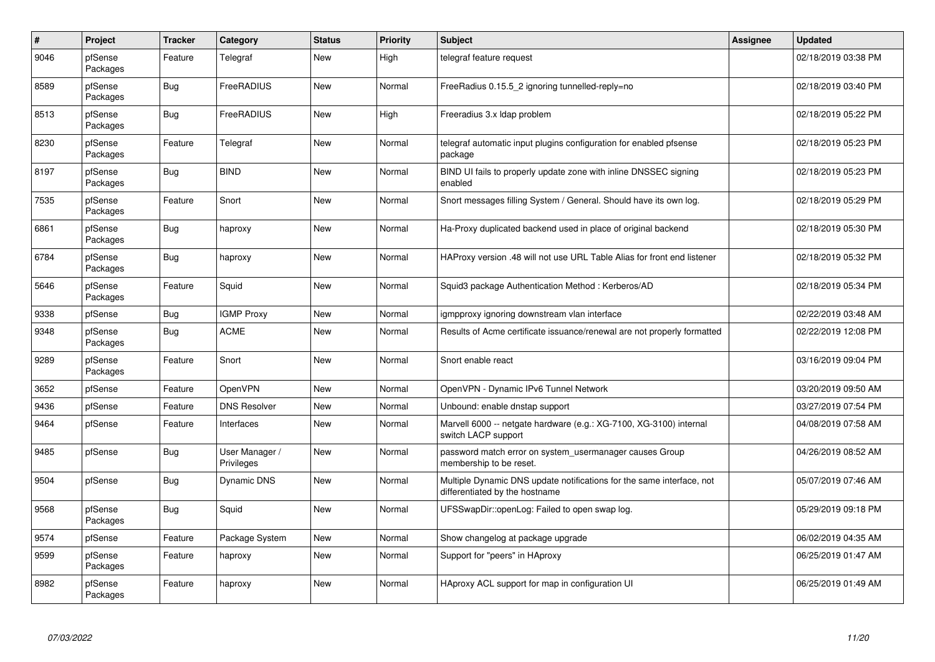| $\pmb{\#}$ | Project             | <b>Tracker</b> | Category                     | <b>Status</b> | <b>Priority</b> | <b>Subject</b>                                                                                          | <b>Assignee</b> | <b>Updated</b>      |
|------------|---------------------|----------------|------------------------------|---------------|-----------------|---------------------------------------------------------------------------------------------------------|-----------------|---------------------|
| 9046       | pfSense<br>Packages | Feature        | Telegraf                     | <b>New</b>    | High            | telegraf feature request                                                                                |                 | 02/18/2019 03:38 PM |
| 8589       | pfSense<br>Packages | <b>Bug</b>     | FreeRADIUS                   | <b>New</b>    | Normal          | FreeRadius 0.15.5 2 ignoring tunnelled-reply=no                                                         |                 | 02/18/2019 03:40 PM |
| 8513       | pfSense<br>Packages | <b>Bug</b>     | FreeRADIUS                   | <b>New</b>    | High            | Freeradius 3.x Idap problem                                                                             |                 | 02/18/2019 05:22 PM |
| 8230       | pfSense<br>Packages | Feature        | Telegraf                     | <b>New</b>    | Normal          | telegraf automatic input plugins configuration for enabled pfsense<br>package                           |                 | 02/18/2019 05:23 PM |
| 8197       | pfSense<br>Packages | <b>Bug</b>     | <b>BIND</b>                  | <b>New</b>    | Normal          | BIND UI fails to properly update zone with inline DNSSEC signing<br>enabled                             |                 | 02/18/2019 05:23 PM |
| 7535       | pfSense<br>Packages | Feature        | Snort                        | <b>New</b>    | Normal          | Snort messages filling System / General. Should have its own log.                                       |                 | 02/18/2019 05:29 PM |
| 6861       | pfSense<br>Packages | Bug            | haproxy                      | <b>New</b>    | Normal          | Ha-Proxy duplicated backend used in place of original backend                                           |                 | 02/18/2019 05:30 PM |
| 6784       | pfSense<br>Packages | <b>Bug</b>     | haproxy                      | <b>New</b>    | Normal          | HAProxy version .48 will not use URL Table Alias for front end listener                                 |                 | 02/18/2019 05:32 PM |
| 5646       | pfSense<br>Packages | Feature        | Squid                        | <b>New</b>    | Normal          | Squid3 package Authentication Method: Kerberos/AD                                                       |                 | 02/18/2019 05:34 PM |
| 9338       | pfSense             | Bug            | <b>IGMP Proxy</b>            | <b>New</b>    | Normal          | igmpproxy ignoring downstream vlan interface                                                            |                 | 02/22/2019 03:48 AM |
| 9348       | pfSense<br>Packages | <b>Bug</b>     | <b>ACME</b>                  | <b>New</b>    | Normal          | Results of Acme certificate issuance/renewal are not properly formatted                                 |                 | 02/22/2019 12:08 PM |
| 9289       | pfSense<br>Packages | Feature        | Snort                        | <b>New</b>    | Normal          | Snort enable react                                                                                      |                 | 03/16/2019 09:04 PM |
| 3652       | pfSense             | Feature        | OpenVPN                      | <b>New</b>    | Normal          | OpenVPN - Dynamic IPv6 Tunnel Network                                                                   |                 | 03/20/2019 09:50 AM |
| 9436       | pfSense             | Feature        | <b>DNS Resolver</b>          | <b>New</b>    | Normal          | Unbound: enable dnstap support                                                                          |                 | 03/27/2019 07:54 PM |
| 9464       | pfSense             | Feature        | Interfaces                   | <b>New</b>    | Normal          | Marvell 6000 -- netgate hardware (e.g.: XG-7100, XG-3100) internal<br>switch LACP support               |                 | 04/08/2019 07:58 AM |
| 9485       | pfSense             | <b>Bug</b>     | User Manager /<br>Privileges | <b>New</b>    | Normal          | password match error on system_usermanager causes Group<br>membership to be reset.                      |                 | 04/26/2019 08:52 AM |
| 9504       | pfSense             | Bug            | Dynamic DNS                  | <b>New</b>    | Normal          | Multiple Dynamic DNS update notifications for the same interface, not<br>differentiated by the hostname |                 | 05/07/2019 07:46 AM |
| 9568       | pfSense<br>Packages | <b>Bug</b>     | Squid                        | <b>New</b>    | Normal          | UFSSwapDir::openLog: Failed to open swap log.                                                           |                 | 05/29/2019 09:18 PM |
| 9574       | pfSense             | Feature        | Package System               | <b>New</b>    | Normal          | Show changelog at package upgrade                                                                       |                 | 06/02/2019 04:35 AM |
| 9599       | pfSense<br>Packages | Feature        | haproxy                      | <b>New</b>    | Normal          | Support for "peers" in HAproxy                                                                          |                 | 06/25/2019 01:47 AM |
| 8982       | pfSense<br>Packages | Feature        | haproxy                      | <b>New</b>    | Normal          | HAproxy ACL support for map in configuration UI                                                         |                 | 06/25/2019 01:49 AM |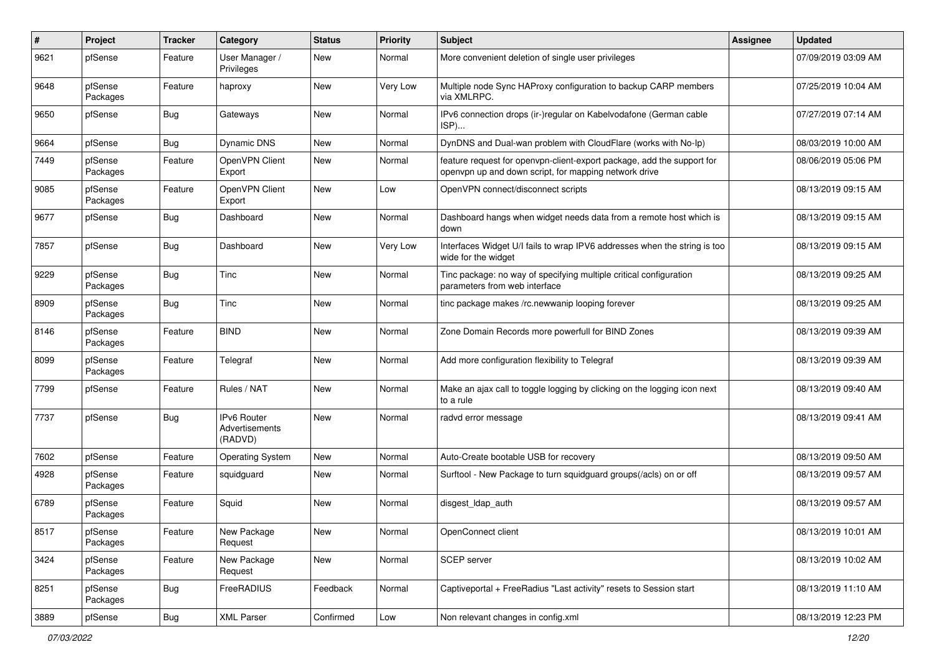| #    | Project             | <b>Tracker</b> | Category                                 | <b>Status</b> | Priority | <b>Subject</b>                                                                                                                  | <b>Assignee</b> | <b>Updated</b>      |
|------|---------------------|----------------|------------------------------------------|---------------|----------|---------------------------------------------------------------------------------------------------------------------------------|-----------------|---------------------|
| 9621 | pfSense             | Feature        | User Manager /<br>Privileges             | New           | Normal   | More convenient deletion of single user privileges                                                                              |                 | 07/09/2019 03:09 AM |
| 9648 | pfSense<br>Packages | Feature        | haproxy                                  | <b>New</b>    | Very Low | Multiple node Sync HAProxy configuration to backup CARP members<br>via XMLRPC.                                                  |                 | 07/25/2019 10:04 AM |
| 9650 | pfSense             | <b>Bug</b>     | Gateways                                 | <b>New</b>    | Normal   | IPv6 connection drops (ir-)regular on Kabelvodafone (German cable<br>ISP)                                                       |                 | 07/27/2019 07:14 AM |
| 9664 | pfSense             | <b>Bug</b>     | <b>Dynamic DNS</b>                       | <b>New</b>    | Normal   | DynDNS and Dual-wan problem with CloudFlare (works with No-Ip)                                                                  |                 | 08/03/2019 10:00 AM |
| 7449 | pfSense<br>Packages | Feature        | OpenVPN Client<br>Export                 | New           | Normal   | feature request for openvpn-client-export package, add the support for<br>openvpn up and down script, for mapping network drive |                 | 08/06/2019 05:06 PM |
| 9085 | pfSense<br>Packages | Feature        | OpenVPN Client<br>Export                 | New           | Low      | OpenVPN connect/disconnect scripts                                                                                              |                 | 08/13/2019 09:15 AM |
| 9677 | pfSense             | <b>Bug</b>     | Dashboard                                | New           | Normal   | Dashboard hangs when widget needs data from a remote host which is<br>down                                                      |                 | 08/13/2019 09:15 AM |
| 7857 | pfSense             | <b>Bug</b>     | Dashboard                                | <b>New</b>    | Very Low | Interfaces Widget U/I fails to wrap IPV6 addresses when the string is too<br>wide for the widget                                |                 | 08/13/2019 09:15 AM |
| 9229 | pfSense<br>Packages | <b>Bug</b>     | Tinc                                     | <b>New</b>    | Normal   | Tinc package: no way of specifying multiple critical configuration<br>parameters from web interface                             |                 | 08/13/2019 09:25 AM |
| 8909 | pfSense<br>Packages | <b>Bug</b>     | Tinc                                     | <b>New</b>    | Normal   | tinc package makes /rc.newwanip looping forever                                                                                 |                 | 08/13/2019 09:25 AM |
| 8146 | pfSense<br>Packages | Feature        | <b>BIND</b>                              | <b>New</b>    | Normal   | Zone Domain Records more powerfull for BIND Zones                                                                               |                 | 08/13/2019 09:39 AM |
| 8099 | pfSense<br>Packages | Feature        | Telegraf                                 | New           | Normal   | Add more configuration flexibility to Telegraf                                                                                  |                 | 08/13/2019 09:39 AM |
| 7799 | pfSense             | Feature        | Rules / NAT                              | <b>New</b>    | Normal   | Make an ajax call to toggle logging by clicking on the logging icon next<br>to a rule                                           |                 | 08/13/2019 09:40 AM |
| 7737 | pfSense             | <b>Bug</b>     | IPv6 Router<br>Advertisements<br>(RADVD) | <b>New</b>    | Normal   | radvd error message                                                                                                             |                 | 08/13/2019 09:41 AM |
| 7602 | pfSense             | Feature        | <b>Operating System</b>                  | <b>New</b>    | Normal   | Auto-Create bootable USB for recovery                                                                                           |                 | 08/13/2019 09:50 AM |
| 4928 | pfSense<br>Packages | Feature        | squidguard                               | <b>New</b>    | Normal   | Surftool - New Package to turn squidguard groups(/acls) on or off                                                               |                 | 08/13/2019 09:57 AM |
| 6789 | pfSense<br>Packages | Feature        | Squid                                    | <b>New</b>    | Normal   | disgest_ldap_auth                                                                                                               |                 | 08/13/2019 09:57 AM |
| 8517 | pfSense<br>Packages | Feature        | New Package<br>Request                   | New           | Normal   | OpenConnect client                                                                                                              |                 | 08/13/2019 10:01 AM |
| 3424 | pfSense<br>Packages | Feature        | New Package<br>Request                   | New           | Normal   | SCEP server                                                                                                                     |                 | 08/13/2019 10:02 AM |
| 8251 | pfSense<br>Packages | <b>Bug</b>     | FreeRADIUS                               | Feedback      | Normal   | Captiveportal + FreeRadius "Last activity" resets to Session start                                                              |                 | 08/13/2019 11:10 AM |
| 3889 | pfSense             | <b>Bug</b>     | <b>XML Parser</b>                        | Confirmed     | Low      | Non relevant changes in config.xml                                                                                              |                 | 08/13/2019 12:23 PM |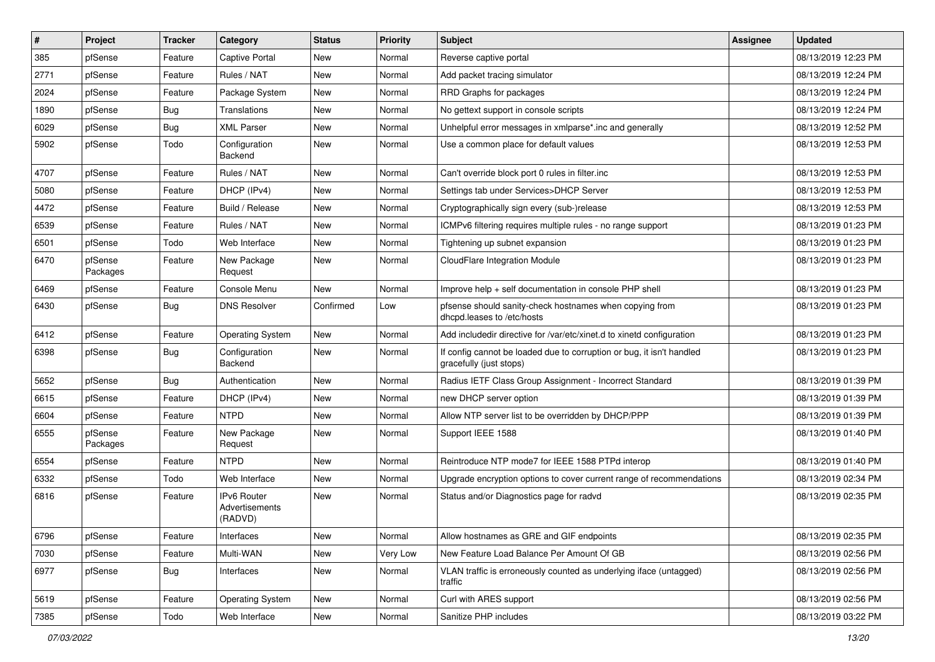| #    | Project             | <b>Tracker</b> | Category                                 | <b>Status</b> | Priority | <b>Subject</b>                                                                                   | <b>Assignee</b> | <b>Updated</b>      |
|------|---------------------|----------------|------------------------------------------|---------------|----------|--------------------------------------------------------------------------------------------------|-----------------|---------------------|
| 385  | pfSense             | Feature        | <b>Captive Portal</b>                    | New           | Normal   | Reverse captive portal                                                                           |                 | 08/13/2019 12:23 PM |
| 2771 | pfSense             | Feature        | Rules / NAT                              | <b>New</b>    | Normal   | Add packet tracing simulator                                                                     |                 | 08/13/2019 12:24 PM |
| 2024 | pfSense             | Feature        | Package System                           | New           | Normal   | RRD Graphs for packages                                                                          |                 | 08/13/2019 12:24 PM |
| 1890 | pfSense             | Bug            | Translations                             | New           | Normal   | No gettext support in console scripts                                                            |                 | 08/13/2019 12:24 PM |
| 6029 | pfSense             | <b>Bug</b>     | <b>XML Parser</b>                        | New           | Normal   | Unhelpful error messages in xmlparse*.inc and generally                                          |                 | 08/13/2019 12:52 PM |
| 5902 | pfSense             | Todo           | Configuration<br>Backend                 | New           | Normal   | Use a common place for default values                                                            |                 | 08/13/2019 12:53 PM |
| 4707 | pfSense             | Feature        | Rules / NAT                              | New           | Normal   | Can't override block port 0 rules in filter.inc                                                  |                 | 08/13/2019 12:53 PM |
| 5080 | pfSense             | Feature        | DHCP (IPv4)                              | <b>New</b>    | Normal   | Settings tab under Services>DHCP Server                                                          |                 | 08/13/2019 12:53 PM |
| 4472 | pfSense             | Feature        | Build / Release                          | New           | Normal   | Cryptographically sign every (sub-)release                                                       |                 | 08/13/2019 12:53 PM |
| 6539 | pfSense             | Feature        | Rules / NAT                              | New           | Normal   | ICMPv6 filtering requires multiple rules - no range support                                      |                 | 08/13/2019 01:23 PM |
| 6501 | pfSense             | Todo           | Web Interface                            | New           | Normal   | Tightening up subnet expansion                                                                   |                 | 08/13/2019 01:23 PM |
| 6470 | pfSense<br>Packages | Feature        | New Package<br>Request                   | New           | Normal   | CloudFlare Integration Module                                                                    |                 | 08/13/2019 01:23 PM |
| 6469 | pfSense             | Feature        | Console Menu                             | <b>New</b>    | Normal   | Improve help + self documentation in console PHP shell                                           |                 | 08/13/2019 01:23 PM |
| 6430 | pfSense             | Bug            | <b>DNS Resolver</b>                      | Confirmed     | Low      | pfsense should sanity-check hostnames when copying from<br>dhcpd.leases to /etc/hosts            |                 | 08/13/2019 01:23 PM |
| 6412 | pfSense             | Feature        | <b>Operating System</b>                  | New           | Normal   | Add includedir directive for /var/etc/xinet.d to xinetd configuration                            |                 | 08/13/2019 01:23 PM |
| 6398 | pfSense             | Bug            | Configuration<br>Backend                 | New           | Normal   | If config cannot be loaded due to corruption or bug, it isn't handled<br>gracefully (just stops) |                 | 08/13/2019 01:23 PM |
| 5652 | pfSense             | <b>Bug</b>     | Authentication                           | New           | Normal   | Radius IETF Class Group Assignment - Incorrect Standard                                          |                 | 08/13/2019 01:39 PM |
| 6615 | pfSense             | Feature        | DHCP (IPv4)                              | New           | Normal   | new DHCP server option                                                                           |                 | 08/13/2019 01:39 PM |
| 6604 | pfSense             | Feature        | <b>NTPD</b>                              | <b>New</b>    | Normal   | Allow NTP server list to be overridden by DHCP/PPP                                               |                 | 08/13/2019 01:39 PM |
| 6555 | pfSense<br>Packages | Feature        | New Package<br>Request                   | New           | Normal   | Support IEEE 1588                                                                                |                 | 08/13/2019 01:40 PM |
| 6554 | pfSense             | Feature        | <b>NTPD</b>                              | New           | Normal   | Reintroduce NTP mode7 for IEEE 1588 PTPd interop                                                 |                 | 08/13/2019 01:40 PM |
| 6332 | pfSense             | Todo           | Web Interface                            | New           | Normal   | Upgrade encryption options to cover current range of recommendations                             |                 | 08/13/2019 02:34 PM |
| 6816 | pfSense             | Feature        | IPv6 Router<br>Advertisements<br>(RADVD) | New           | Normal   | Status and/or Diagnostics page for radvd                                                         |                 | 08/13/2019 02:35 PM |
| 6796 | pfSense             | Feature        | Interfaces                               | New           | Normal   | Allow hostnames as GRE and GIF endpoints                                                         |                 | 08/13/2019 02:35 PM |
| 7030 | pfSense             | Feature        | Multi-WAN                                | New           | Very Low | New Feature Load Balance Per Amount Of GB                                                        |                 | 08/13/2019 02:56 PM |
| 6977 | pfSense             | <b>Bug</b>     | Interfaces                               | New           | Normal   | VLAN traffic is erroneously counted as underlying iface (untagged)<br>traffic                    |                 | 08/13/2019 02:56 PM |
| 5619 | pfSense             | Feature        | <b>Operating System</b>                  | New           | Normal   | Curl with ARES support                                                                           |                 | 08/13/2019 02:56 PM |
| 7385 | pfSense             | Todo           | Web Interface                            | New           | Normal   | Sanitize PHP includes                                                                            |                 | 08/13/2019 03:22 PM |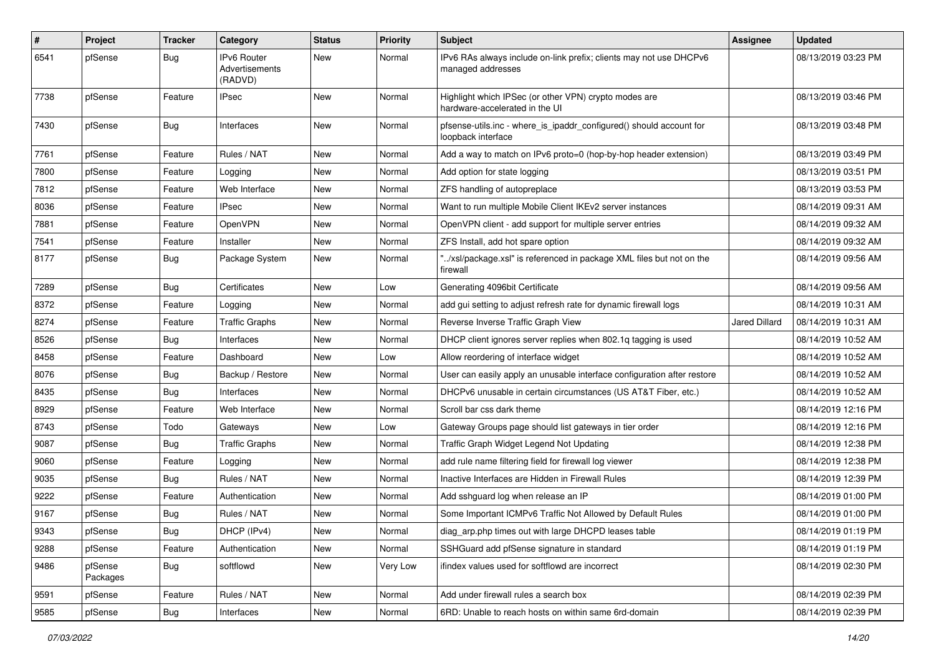| #    | Project             | <b>Tracker</b> | Category                                 | <b>Status</b> | <b>Priority</b> | <b>Subject</b>                                                                            | Assignee             | <b>Updated</b>      |
|------|---------------------|----------------|------------------------------------------|---------------|-----------------|-------------------------------------------------------------------------------------------|----------------------|---------------------|
| 6541 | pfSense             | Bug            | IPv6 Router<br>Advertisements<br>(RADVD) | New           | Normal          | IPv6 RAs always include on-link prefix; clients may not use DHCPv6<br>managed addresses   |                      | 08/13/2019 03:23 PM |
| 7738 | pfSense             | Feature        | <b>IPsec</b>                             | New           | Normal          | Highlight which IPSec (or other VPN) crypto modes are<br>hardware-accelerated in the UI   |                      | 08/13/2019 03:46 PM |
| 7430 | pfSense             | Bug            | Interfaces                               | New           | Normal          | pfsense-utils.inc - where_is_ipaddr_configured() should account for<br>loopback interface |                      | 08/13/2019 03:48 PM |
| 7761 | pfSense             | Feature        | Rules / NAT                              | New           | Normal          | Add a way to match on IPv6 proto=0 (hop-by-hop header extension)                          |                      | 08/13/2019 03:49 PM |
| 7800 | pfSense             | Feature        | Logging                                  | New           | Normal          | Add option for state logging                                                              |                      | 08/13/2019 03:51 PM |
| 7812 | pfSense             | Feature        | Web Interface                            | New           | Normal          | ZFS handling of autopreplace                                                              |                      | 08/13/2019 03:53 PM |
| 8036 | pfSense             | Feature        | <b>IPsec</b>                             | New           | Normal          | Want to run multiple Mobile Client IKEv2 server instances                                 |                      | 08/14/2019 09:31 AM |
| 7881 | pfSense             | Feature        | OpenVPN                                  | New           | Normal          | OpenVPN client - add support for multiple server entries                                  |                      | 08/14/2019 09:32 AM |
| 7541 | pfSense             | Feature        | Installer                                | New           | Normal          | ZFS Install, add hot spare option                                                         |                      | 08/14/2019 09:32 AM |
| 8177 | pfSense             | <b>Bug</b>     | Package System                           | New           | Normal          | /xsl/package.xsl" is referenced in package XML files but not on the<br>firewall           |                      | 08/14/2019 09:56 AM |
| 7289 | pfSense             | Bug            | Certificates                             | <b>New</b>    | Low             | Generating 4096bit Certificate                                                            |                      | 08/14/2019 09:56 AM |
| 8372 | pfSense             | Feature        | Logging                                  | New           | Normal          | add gui setting to adjust refresh rate for dynamic firewall logs                          |                      | 08/14/2019 10:31 AM |
| 8274 | pfSense             | Feature        | <b>Traffic Graphs</b>                    | New           | Normal          | Reverse Inverse Traffic Graph View                                                        | <b>Jared Dillard</b> | 08/14/2019 10:31 AM |
| 8526 | pfSense             | Bug            | Interfaces                               | New           | Normal          | DHCP client ignores server replies when 802.1q tagging is used                            |                      | 08/14/2019 10:52 AM |
| 8458 | pfSense             | Feature        | Dashboard                                | New           | Low             | Allow reordering of interface widget                                                      |                      | 08/14/2019 10:52 AM |
| 8076 | pfSense             | Bug            | Backup / Restore                         | New           | Normal          | User can easily apply an unusable interface configuration after restore                   |                      | 08/14/2019 10:52 AM |
| 8435 | pfSense             | Bug            | Interfaces                               | New           | Normal          | DHCPv6 unusable in certain circumstances (US AT&T Fiber, etc.)                            |                      | 08/14/2019 10:52 AM |
| 8929 | pfSense             | Feature        | Web Interface                            | New           | Normal          | Scroll bar css dark theme                                                                 |                      | 08/14/2019 12:16 PM |
| 8743 | pfSense             | Todo           | Gateways                                 | New           | Low             | Gateway Groups page should list gateways in tier order                                    |                      | 08/14/2019 12:16 PM |
| 9087 | pfSense             | Bug            | <b>Traffic Graphs</b>                    | New           | Normal          | Traffic Graph Widget Legend Not Updating                                                  |                      | 08/14/2019 12:38 PM |
| 9060 | pfSense             | Feature        | Logging                                  | New           | Normal          | add rule name filtering field for firewall log viewer                                     |                      | 08/14/2019 12:38 PM |
| 9035 | pfSense             | <b>Bug</b>     | Rules / NAT                              | New           | Normal          | Inactive Interfaces are Hidden in Firewall Rules                                          |                      | 08/14/2019 12:39 PM |
| 9222 | pfSense             | Feature        | Authentication                           | New           | Normal          | Add sshguard log when release an IP                                                       |                      | 08/14/2019 01:00 PM |
| 9167 | pfSense             | Bug            | Rules / NAT                              | New           | Normal          | Some Important ICMPv6 Traffic Not Allowed by Default Rules                                |                      | 08/14/2019 01:00 PM |
| 9343 | pfSense             | Bug            | DHCP (IPv4)                              | New           | Normal          | diag_arp.php times out with large DHCPD leases table                                      |                      | 08/14/2019 01:19 PM |
| 9288 | pfSense             | Feature        | Authentication                           | New           | Normal          | SSHGuard add pfSense signature in standard                                                |                      | 08/14/2019 01:19 PM |
| 9486 | pfSense<br>Packages | <b>Bug</b>     | softflowd                                | New           | Very Low        | ifindex values used for softflowd are incorrect                                           |                      | 08/14/2019 02:30 PM |
| 9591 | pfSense             | Feature        | Rules / NAT                              | New           | Normal          | Add under firewall rules a search box                                                     |                      | 08/14/2019 02:39 PM |
| 9585 | pfSense             | Bug            | Interfaces                               | New           | Normal          | 6RD: Unable to reach hosts on within same 6rd-domain                                      |                      | 08/14/2019 02:39 PM |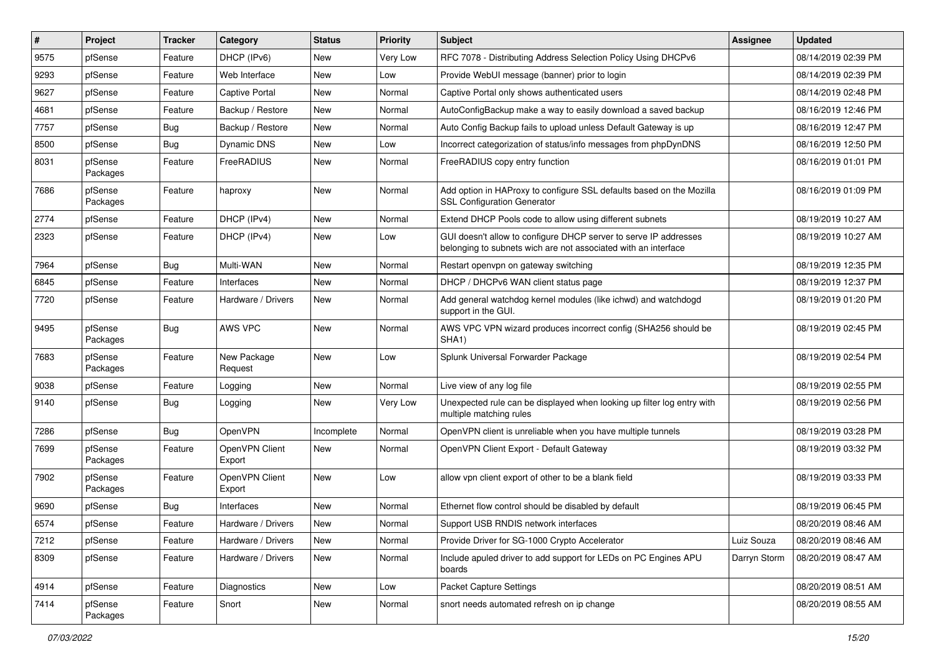| ∦    | Project             | <b>Tracker</b> | Category                 | <b>Status</b> | <b>Priority</b> | <b>Subject</b>                                                                                                                     | Assignee     | <b>Updated</b>      |
|------|---------------------|----------------|--------------------------|---------------|-----------------|------------------------------------------------------------------------------------------------------------------------------------|--------------|---------------------|
| 9575 | pfSense             | Feature        | DHCP (IPv6)              | New           | Very Low        | RFC 7078 - Distributing Address Selection Policy Using DHCPv6                                                                      |              | 08/14/2019 02:39 PM |
| 9293 | pfSense             | Feature        | Web Interface            | New           | Low             | Provide WebUI message (banner) prior to login                                                                                      |              | 08/14/2019 02:39 PM |
| 9627 | pfSense             | Feature        | Captive Portal           | New           | Normal          | Captive Portal only shows authenticated users                                                                                      |              | 08/14/2019 02:48 PM |
| 4681 | pfSense             | Feature        | Backup / Restore         | New           | Normal          | AutoConfigBackup make a way to easily download a saved backup                                                                      |              | 08/16/2019 12:46 PM |
| 7757 | pfSense             | Bug            | Backup / Restore         | <b>New</b>    | Normal          | Auto Config Backup fails to upload unless Default Gateway is up                                                                    |              | 08/16/2019 12:47 PM |
| 8500 | pfSense             | Bug            | Dynamic DNS              | New           | Low             | Incorrect categorization of status/info messages from phpDynDNS                                                                    |              | 08/16/2019 12:50 PM |
| 8031 | pfSense<br>Packages | Feature        | FreeRADIUS               | New           | Normal          | FreeRADIUS copy entry function                                                                                                     |              | 08/16/2019 01:01 PM |
| 7686 | pfSense<br>Packages | Feature        | haproxy                  | New           | Normal          | Add option in HAProxy to configure SSL defaults based on the Mozilla<br><b>SSL Configuration Generator</b>                         |              | 08/16/2019 01:09 PM |
| 2774 | pfSense             | Feature        | DHCP (IPv4)              | <b>New</b>    | Normal          | Extend DHCP Pools code to allow using different subnets                                                                            |              | 08/19/2019 10:27 AM |
| 2323 | pfSense             | Feature        | DHCP (IPv4)              | New           | Low             | GUI doesn't allow to configure DHCP server to serve IP addresses<br>belonging to subnets wich are not associated with an interface |              | 08/19/2019 10:27 AM |
| 7964 | pfSense             | Bug            | Multi-WAN                | New           | Normal          | Restart openvpn on gateway switching                                                                                               |              | 08/19/2019 12:35 PM |
| 6845 | pfSense             | Feature        | Interfaces               | New           | Normal          | DHCP / DHCPv6 WAN client status page                                                                                               |              | 08/19/2019 12:37 PM |
| 7720 | pfSense             | Feature        | Hardware / Drivers       | <b>New</b>    | Normal          | Add general watchdog kernel modules (like ichwd) and watchdogd<br>support in the GUI.                                              |              | 08/19/2019 01:20 PM |
| 9495 | pfSense<br>Packages | Bug            | AWS VPC                  | <b>New</b>    | Normal          | AWS VPC VPN wizard produces incorrect config (SHA256 should be<br>SHA1)                                                            |              | 08/19/2019 02:45 PM |
| 7683 | pfSense<br>Packages | Feature        | New Package<br>Request   | <b>New</b>    | Low             | Splunk Universal Forwarder Package                                                                                                 |              | 08/19/2019 02:54 PM |
| 9038 | pfSense             | Feature        | Logging                  | New           | Normal          | Live view of any log file                                                                                                          |              | 08/19/2019 02:55 PM |
| 9140 | pfSense             | Bug            | Logging                  | New           | Very Low        | Unexpected rule can be displayed when looking up filter log entry with<br>multiple matching rules                                  |              | 08/19/2019 02:56 PM |
| 7286 | pfSense             | Bug            | OpenVPN                  | Incomplete    | Normal          | OpenVPN client is unreliable when you have multiple tunnels                                                                        |              | 08/19/2019 03:28 PM |
| 7699 | pfSense<br>Packages | Feature        | OpenVPN Client<br>Export | New           | Normal          | OpenVPN Client Export - Default Gateway                                                                                            |              | 08/19/2019 03:32 PM |
| 7902 | pfSense<br>Packages | Feature        | OpenVPN Client<br>Export | New           | Low             | allow vpn client export of other to be a blank field                                                                               |              | 08/19/2019 03:33 PM |
| 9690 | pfSense             | Bug            | Interfaces               | New           | Normal          | Ethernet flow control should be disabled by default                                                                                |              | 08/19/2019 06:45 PM |
| 6574 | pfSense             | Feature        | Hardware / Drivers       | New           | Normal          | Support USB RNDIS network interfaces                                                                                               |              | 08/20/2019 08:46 AM |
| 7212 | pfSense             | Feature        | Hardware / Drivers       | New           | Normal          | Provide Driver for SG-1000 Crypto Accelerator                                                                                      | Luiz Souza   | 08/20/2019 08:46 AM |
| 8309 | pfSense             | Feature        | Hardware / Drivers       | New           | Normal          | Include apuled driver to add support for LEDs on PC Engines APU<br>boards                                                          | Darryn Storm | 08/20/2019 08:47 AM |
| 4914 | pfSense             | Feature        | Diagnostics              | New           | Low             | <b>Packet Capture Settings</b>                                                                                                     |              | 08/20/2019 08:51 AM |
| 7414 | pfSense<br>Packages | Feature        | Snort                    | New           | Normal          | snort needs automated refresh on ip change                                                                                         |              | 08/20/2019 08:55 AM |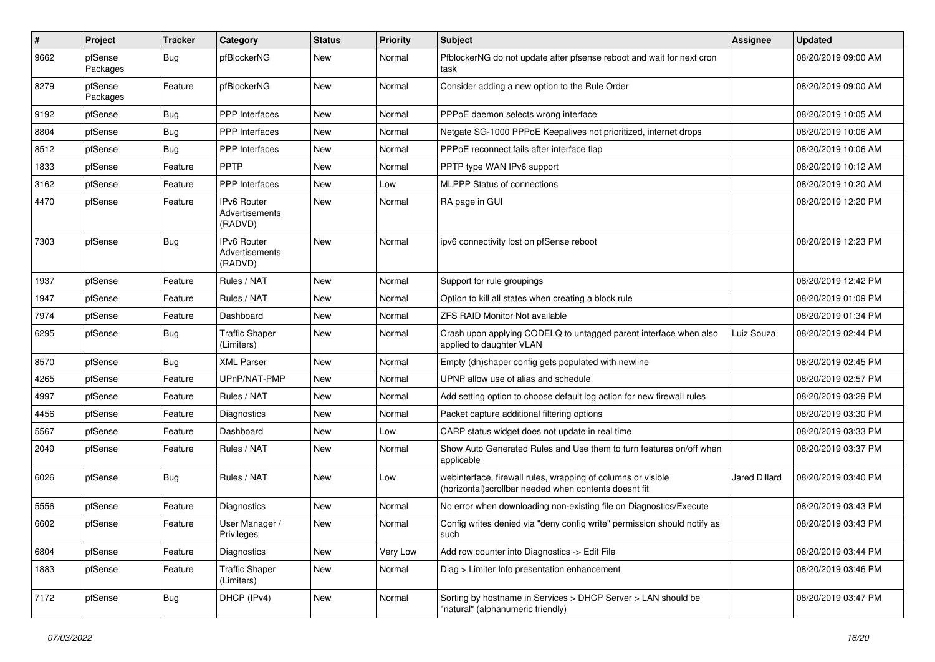| $\vert$ # | Project             | <b>Tracker</b> | Category                                        | <b>Status</b> | <b>Priority</b> | <b>Subject</b>                                                                                                        | Assignee             | <b>Updated</b>      |
|-----------|---------------------|----------------|-------------------------------------------------|---------------|-----------------|-----------------------------------------------------------------------------------------------------------------------|----------------------|---------------------|
| 9662      | pfSense<br>Packages | Bug            | pfBlockerNG                                     | New           | Normal          | PfblockerNG do not update after pfsense reboot and wait for next cron<br>task                                         |                      | 08/20/2019 09:00 AM |
| 8279      | pfSense<br>Packages | Feature        | pfBlockerNG                                     | <b>New</b>    | Normal          | Consider adding a new option to the Rule Order                                                                        |                      | 08/20/2019 09:00 AM |
| 9192      | pfSense             | Bug            | <b>PPP</b> Interfaces                           | <b>New</b>    | Normal          | PPPoE daemon selects wrong interface                                                                                  |                      | 08/20/2019 10:05 AM |
| 8804      | pfSense             | <b>Bug</b>     | <b>PPP</b> Interfaces                           | <b>New</b>    | Normal          | Netgate SG-1000 PPPoE Keepalives not prioritized, internet drops                                                      |                      | 08/20/2019 10:06 AM |
| 8512      | pfSense             | Bug            | <b>PPP</b> Interfaces                           | New           | Normal          | PPPoE reconnect fails after interface flap                                                                            |                      | 08/20/2019 10:06 AM |
| 1833      | pfSense             | Feature        | <b>PPTP</b>                                     | New           | Normal          | PPTP type WAN IPv6 support                                                                                            |                      | 08/20/2019 10:12 AM |
| 3162      | pfSense             | Feature        | PPP Interfaces                                  | <b>New</b>    | Low             | <b>MLPPP Status of connections</b>                                                                                    |                      | 08/20/2019 10:20 AM |
| 4470      | pfSense             | Feature        | <b>IPv6 Router</b><br>Advertisements<br>(RADVD) | New           | Normal          | RA page in GUI                                                                                                        |                      | 08/20/2019 12:20 PM |
| 7303      | pfSense             | Bug            | <b>IPv6 Router</b><br>Advertisements<br>(RADVD) | New           | Normal          | ipv6 connectivity lost on pfSense reboot                                                                              |                      | 08/20/2019 12:23 PM |
| 1937      | pfSense             | Feature        | Rules / NAT                                     | <b>New</b>    | Normal          | Support for rule groupings                                                                                            |                      | 08/20/2019 12:42 PM |
| 1947      | pfSense             | Feature        | Rules / NAT                                     | New           | Normal          | Option to kill all states when creating a block rule                                                                  |                      | 08/20/2019 01:09 PM |
| 7974      | pfSense             | Feature        | Dashboard                                       | <b>New</b>    | Normal          | <b>ZFS RAID Monitor Not available</b>                                                                                 |                      | 08/20/2019 01:34 PM |
| 6295      | pfSense             | Bug            | <b>Traffic Shaper</b><br>(Limiters)             | New           | Normal          | Crash upon applying CODELQ to untagged parent interface when also<br>applied to daughter VLAN                         | Luiz Souza           | 08/20/2019 02:44 PM |
| 8570      | pfSense             | Bug            | <b>XML Parser</b>                               | <b>New</b>    | Normal          | Empty (dn)shaper config gets populated with newline                                                                   |                      | 08/20/2019 02:45 PM |
| 4265      | pfSense             | Feature        | UPnP/NAT-PMP                                    | New           | Normal          | UPNP allow use of alias and schedule                                                                                  |                      | 08/20/2019 02:57 PM |
| 4997      | pfSense             | Feature        | Rules / NAT                                     | New           | Normal          | Add setting option to choose default log action for new firewall rules                                                |                      | 08/20/2019 03:29 PM |
| 4456      | pfSense             | Feature        | Diagnostics                                     | <b>New</b>    | Normal          | Packet capture additional filtering options                                                                           |                      | 08/20/2019 03:30 PM |
| 5567      | pfSense             | Feature        | Dashboard                                       | New           | Low             | CARP status widget does not update in real time                                                                       |                      | 08/20/2019 03:33 PM |
| 2049      | pfSense             | Feature        | Rules / NAT                                     | New           | Normal          | Show Auto Generated Rules and Use them to turn features on/off when<br>applicable                                     |                      | 08/20/2019 03:37 PM |
| 6026      | pfSense             | Bug            | Rules / NAT                                     | <b>New</b>    | Low             | webinterface, firewall rules, wrapping of columns or visible<br>(horizontal)scrollbar needed when contents doesnt fit | <b>Jared Dillard</b> | 08/20/2019 03:40 PM |
| 5556      | pfSense             | Feature        | Diagnostics                                     | New           | Normal          | No error when downloading non-existing file on Diagnostics/Execute                                                    |                      | 08/20/2019 03:43 PM |
| 6602      | pfSense             | Feature        | User Manager /<br>Privileges                    | New           | Normal          | Config writes denied via "deny config write" permission should notify as<br>such                                      |                      | 08/20/2019 03:43 PM |
| 6804      | pfSense             | Feature        | Diagnostics                                     | New           | Very Low        | Add row counter into Diagnostics -> Edit File                                                                         |                      | 08/20/2019 03:44 PM |
| 1883      | pfSense             | Feature        | <b>Traffic Shaper</b><br>(Limiters)             | New           | Normal          | Diag > Limiter Info presentation enhancement                                                                          |                      | 08/20/2019 03:46 PM |
| 7172      | pfSense             | <b>Bug</b>     | DHCP (IPv4)                                     | New           | Normal          | Sorting by hostname in Services > DHCP Server > LAN should be<br>"natural" (alphanumeric friendly)                    |                      | 08/20/2019 03:47 PM |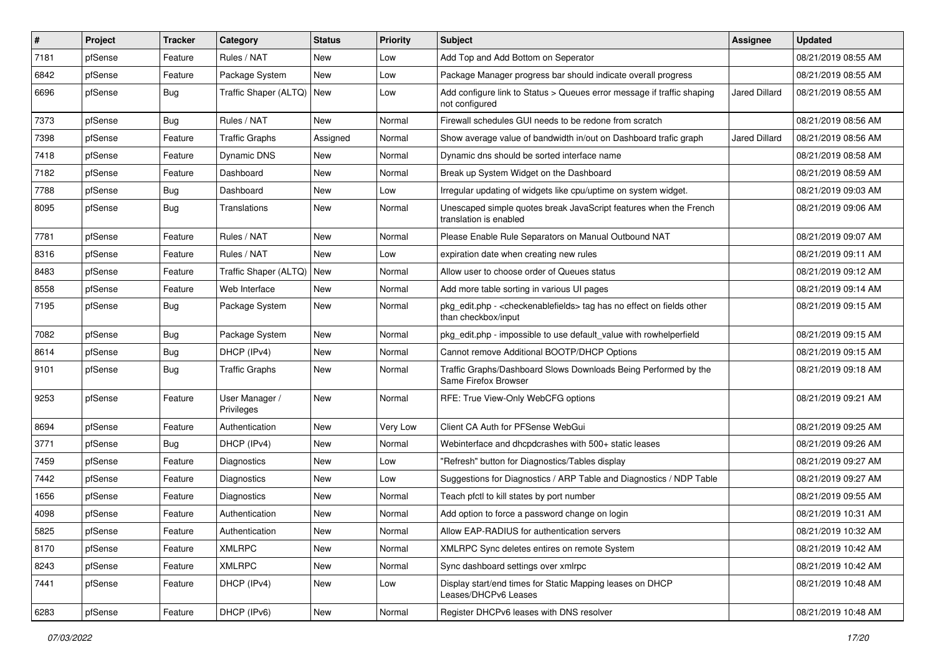| #    | Project | <b>Tracker</b> | Category                     | <b>Status</b> | Priority | <b>Subject</b>                                                                                                   | <b>Assignee</b>      | <b>Updated</b>      |
|------|---------|----------------|------------------------------|---------------|----------|------------------------------------------------------------------------------------------------------------------|----------------------|---------------------|
| 7181 | pfSense | Feature        | Rules / NAT                  | New           | Low      | Add Top and Add Bottom on Seperator                                                                              |                      | 08/21/2019 08:55 AM |
| 6842 | pfSense | Feature        | Package System               | <b>New</b>    | Low      | Package Manager progress bar should indicate overall progress                                                    |                      | 08/21/2019 08:55 AM |
| 6696 | pfSense | Bug            | Traffic Shaper (ALTQ)   New  |               | Low      | Add configure link to Status > Queues error message if traffic shaping<br>not configured                         | <b>Jared Dillard</b> | 08/21/2019 08:55 AM |
| 7373 | pfSense | Bug            | Rules / NAT                  | New           | Normal   | Firewall schedules GUI needs to be redone from scratch                                                           |                      | 08/21/2019 08:56 AM |
| 7398 | pfSense | Feature        | <b>Traffic Graphs</b>        | Assigned      | Normal   | Show average value of bandwidth in/out on Dashboard trafic graph                                                 | Jared Dillard        | 08/21/2019 08:56 AM |
| 7418 | pfSense | Feature        | Dynamic DNS                  | New           | Normal   | Dynamic dns should be sorted interface name                                                                      |                      | 08/21/2019 08:58 AM |
| 7182 | pfSense | Feature        | Dashboard                    | New           | Normal   | Break up System Widget on the Dashboard                                                                          |                      | 08/21/2019 08:59 AM |
| 7788 | pfSense | <b>Bug</b>     | Dashboard                    | New           | Low      | Irregular updating of widgets like cpu/uptime on system widget.                                                  |                      | 08/21/2019 09:03 AM |
| 8095 | pfSense | Bug            | Translations                 | New           | Normal   | Unescaped simple quotes break JavaScript features when the French<br>translation is enabled                      |                      | 08/21/2019 09:06 AM |
| 7781 | pfSense | Feature        | Rules / NAT                  | New           | Normal   | Please Enable Rule Separators on Manual Outbound NAT                                                             |                      | 08/21/2019 09:07 AM |
| 8316 | pfSense | Feature        | Rules / NAT                  | New           | Low      | expiration date when creating new rules                                                                          |                      | 08/21/2019 09:11 AM |
| 8483 | pfSense | Feature        | Traffic Shaper (ALTQ)   New  |               | Normal   | Allow user to choose order of Queues status                                                                      |                      | 08/21/2019 09:12 AM |
| 8558 | pfSense | Feature        | Web Interface                | <b>New</b>    | Normal   | Add more table sorting in various UI pages                                                                       |                      | 08/21/2019 09:14 AM |
| 7195 | pfSense | Bug            | Package System               | New           | Normal   | pkg_edit.php - <checkenablefields> tag has no effect on fields other<br/>than checkbox/input</checkenablefields> |                      | 08/21/2019 09:15 AM |
| 7082 | pfSense | <b>Bug</b>     | Package System               | New           | Normal   | pkg edit.php - impossible to use default value with rowhelperfield                                               |                      | 08/21/2019 09:15 AM |
| 8614 | pfSense | <b>Bug</b>     | DHCP (IPv4)                  | New           | Normal   | Cannot remove Additional BOOTP/DHCP Options                                                                      |                      | 08/21/2019 09:15 AM |
| 9101 | pfSense | Bug            | <b>Traffic Graphs</b>        | New           | Normal   | Traffic Graphs/Dashboard Slows Downloads Being Performed by the<br>Same Firefox Browser                          |                      | 08/21/2019 09:18 AM |
| 9253 | pfSense | Feature        | User Manager /<br>Privileges | New           | Normal   | RFE: True View-Only WebCFG options                                                                               |                      | 08/21/2019 09:21 AM |
| 8694 | pfSense | Feature        | Authentication               | New           | Very Low | Client CA Auth for PFSense WebGui                                                                                |                      | 08/21/2019 09:25 AM |
| 3771 | pfSense | <b>Bug</b>     | DHCP (IPv4)                  | New           | Normal   | Webinterface and dhcpdcrashes with 500+ static leases                                                            |                      | 08/21/2019 09:26 AM |
| 7459 | pfSense | Feature        | Diagnostics                  | <b>New</b>    | Low      | "Refresh" button for Diagnostics/Tables display                                                                  |                      | 08/21/2019 09:27 AM |
| 7442 | pfSense | Feature        | Diagnostics                  | New           | Low      | Suggestions for Diagnostics / ARP Table and Diagnostics / NDP Table                                              |                      | 08/21/2019 09:27 AM |
| 1656 | pfSense | Feature        | <b>Diagnostics</b>           | New           | Normal   | Teach pfctl to kill states by port number                                                                        |                      | 08/21/2019 09:55 AM |
| 4098 | pfSense | Feature        | Authentication               | <b>New</b>    | Normal   | Add option to force a password change on login                                                                   |                      | 08/21/2019 10:31 AM |
| 5825 | ptSense | Feature        | Authentication               | New           | Normal   | Allow EAP-RADIUS for authentication servers                                                                      |                      | 08/21/2019 10:32 AM |
| 8170 | pfSense | Feature        | <b>XMLRPC</b>                | New           | Normal   | XMLRPC Sync deletes entires on remote System                                                                     |                      | 08/21/2019 10:42 AM |
| 8243 | pfSense | Feature        | <b>XMLRPC</b>                | New           | Normal   | Sync dashboard settings over xmlrpc                                                                              |                      | 08/21/2019 10:42 AM |
| 7441 | pfSense | Feature        | DHCP (IPv4)                  | New           | Low      | Display start/end times for Static Mapping leases on DHCP<br>Leases/DHCPv6 Leases                                |                      | 08/21/2019 10:48 AM |
| 6283 | pfSense | Feature        | DHCP (IPv6)                  | New           | Normal   | Register DHCPv6 leases with DNS resolver                                                                         |                      | 08/21/2019 10:48 AM |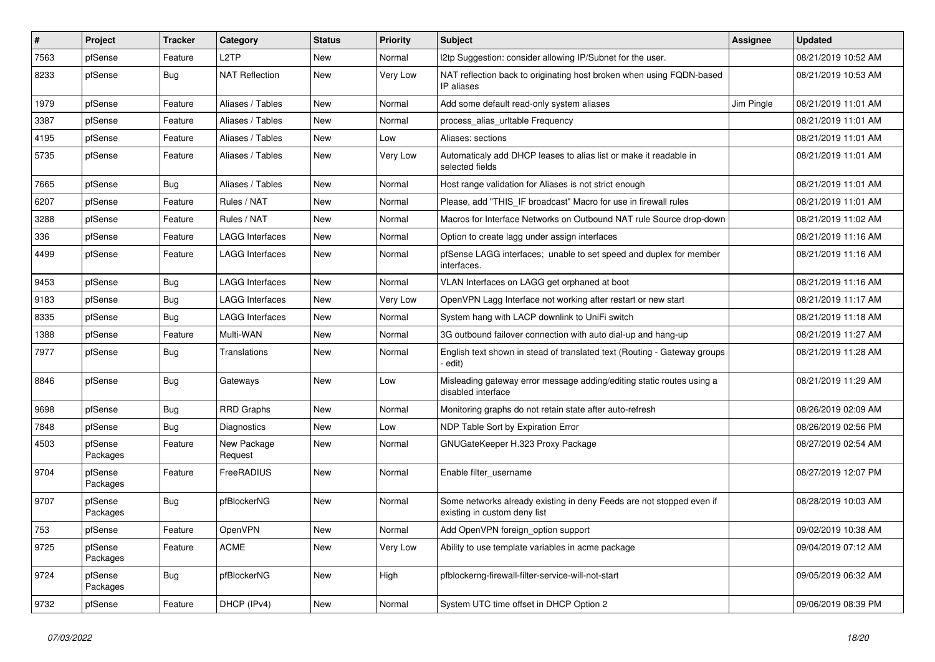| $\vert$ # | Project             | <b>Tracker</b> | Category               | <b>Status</b> | <b>Priority</b> | <b>Subject</b>                                                                                       | <b>Assignee</b> | <b>Updated</b>      |
|-----------|---------------------|----------------|------------------------|---------------|-----------------|------------------------------------------------------------------------------------------------------|-----------------|---------------------|
| 7563      | pfSense             | Feature        | L <sub>2</sub> TP      | New           | Normal          | I2tp Suggestion: consider allowing IP/Subnet for the user.                                           |                 | 08/21/2019 10:52 AM |
| 8233      | pfSense             | Bug            | <b>NAT Reflection</b>  | New           | Very Low        | NAT reflection back to originating host broken when using FQDN-based<br>IP aliases                   |                 | 08/21/2019 10:53 AM |
| 1979      | pfSense             | Feature        | Aliases / Tables       | <b>New</b>    | Normal          | Add some default read-only system aliases                                                            | Jim Pingle      | 08/21/2019 11:01 AM |
| 3387      | pfSense             | Feature        | Aliases / Tables       | New           | Normal          | process_alias_urltable Frequency                                                                     |                 | 08/21/2019 11:01 AM |
| 4195      | pfSense             | Feature        | Aliases / Tables       | New           | Low             | Aliases: sections                                                                                    |                 | 08/21/2019 11:01 AM |
| 5735      | pfSense             | Feature        | Aliases / Tables       | New           | Very Low        | Automaticaly add DHCP leases to alias list or make it readable in<br>selected fields                 |                 | 08/21/2019 11:01 AM |
| 7665      | pfSense             | Bug            | Aliases / Tables       | New           | Normal          | Host range validation for Aliases is not strict enough                                               |                 | 08/21/2019 11:01 AM |
| 6207      | pfSense             | Feature        | Rules / NAT            | New           | Normal          | Please, add "THIS_IF broadcast" Macro for use in firewall rules                                      |                 | 08/21/2019 11:01 AM |
| 3288      | pfSense             | Feature        | Rules / NAT            | New           | Normal          | Macros for Interface Networks on Outbound NAT rule Source drop-down                                  |                 | 08/21/2019 11:02 AM |
| 336       | pfSense             | Feature        | <b>LAGG Interfaces</b> | New           | Normal          | Option to create lagg under assign interfaces                                                        |                 | 08/21/2019 11:16 AM |
| 4499      | pfSense             | Feature        | LAGG Interfaces        | New           | Normal          | pfSense LAGG interfaces; unable to set speed and duplex for member<br>interfaces.                    |                 | 08/21/2019 11:16 AM |
| 9453      | pfSense             | <b>Bug</b>     | <b>LAGG Interfaces</b> | New           | Normal          | VLAN Interfaces on LAGG get orphaned at boot                                                         |                 | 08/21/2019 11:16 AM |
| 9183      | pfSense             | Bug            | <b>LAGG Interfaces</b> | New           | Very Low        | OpenVPN Lagg Interface not working after restart or new start                                        |                 | 08/21/2019 11:17 AM |
| 8335      | pfSense             | Bug            | <b>LAGG Interfaces</b> | New           | Normal          | System hang with LACP downlink to UniFi switch                                                       |                 | 08/21/2019 11:18 AM |
| 1388      | pfSense             | Feature        | Multi-WAN              | New           | Normal          | 3G outbound failover connection with auto dial-up and hang-up                                        |                 | 08/21/2019 11:27 AM |
| 7977      | pfSense             | <b>Bug</b>     | Translations           | New           | Normal          | English text shown in stead of translated text (Routing - Gateway groups<br>edit)                    |                 | 08/21/2019 11:28 AM |
| 8846      | pfSense             | Bug            | Gateways               | New           | Low             | Misleading gateway error message adding/editing static routes using a<br>disabled interface          |                 | 08/21/2019 11:29 AM |
| 9698      | pfSense             | <b>Bug</b>     | <b>RRD Graphs</b>      | New           | Normal          | Monitoring graphs do not retain state after auto-refresh                                             |                 | 08/26/2019 02:09 AM |
| 7848      | pfSense             | Bug            | Diagnostics            | New           | Low             | NDP Table Sort by Expiration Error                                                                   |                 | 08/26/2019 02:56 PM |
| 4503      | pfSense<br>Packages | Feature        | New Package<br>Request | New           | Normal          | GNUGateKeeper H.323 Proxy Package                                                                    |                 | 08/27/2019 02:54 AM |
| 9704      | pfSense<br>Packages | Feature        | FreeRADIUS             | New           | Normal          | Enable filter username                                                                               |                 | 08/27/2019 12:07 PM |
| 9707      | pfSense<br>Packages | <b>Bug</b>     | pfBlockerNG            | New           | Normal          | Some networks already existing in deny Feeds are not stopped even if<br>existing in custom deny list |                 | 08/28/2019 10:03 AM |
| 753       | pfSense             | Feature        | OpenVPN                | New           | Normal          | Add OpenVPN foreign_option support                                                                   |                 | 09/02/2019 10:38 AM |
| 9725      | pfSense<br>Packages | Feature        | ACME                   | New           | Very Low        | Ability to use template variables in acme package                                                    |                 | 09/04/2019 07:12 AM |
| 9724      | pfSense<br>Packages | <b>Bug</b>     | pfBlockerNG            | New           | High            | pfblockerng-firewall-filter-service-will-not-start                                                   |                 | 09/05/2019 06:32 AM |
| 9732      | pfSense             | Feature        | DHCP (IPv4)            | New           | Normal          | System UTC time offset in DHCP Option 2                                                              |                 | 09/06/2019 08:39 PM |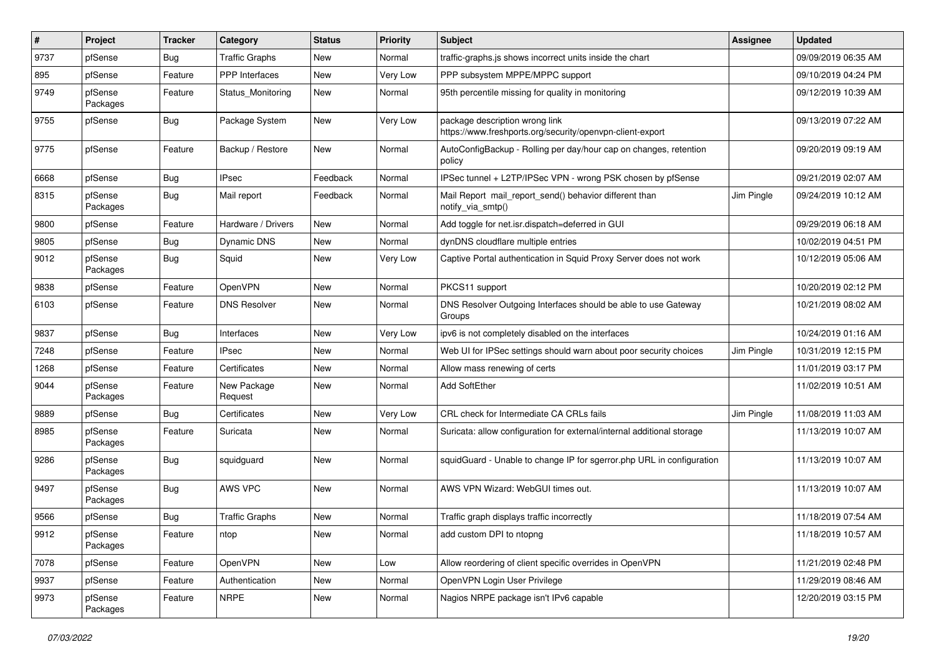| #    | Project             | <b>Tracker</b> | Category               | <b>Status</b> | <b>Priority</b> | <b>Subject</b>                                                                              | <b>Assignee</b> | <b>Updated</b>      |
|------|---------------------|----------------|------------------------|---------------|-----------------|---------------------------------------------------------------------------------------------|-----------------|---------------------|
| 9737 | pfSense             | Bug            | <b>Traffic Graphs</b>  | New           | Normal          | traffic-graphs.js shows incorrect units inside the chart                                    |                 | 09/09/2019 06:35 AM |
| 895  | pfSense             | Feature        | <b>PPP</b> Interfaces  | <b>New</b>    | Very Low        | PPP subsystem MPPE/MPPC support                                                             |                 | 09/10/2019 04:24 PM |
| 9749 | pfSense<br>Packages | Feature        | Status_Monitoring      | New           | Normal          | 95th percentile missing for quality in monitoring                                           |                 | 09/12/2019 10:39 AM |
| 9755 | pfSense             | Bug            | Package System         | New           | Very Low        | package description wrong link<br>https://www.freshports.org/security/openvpn-client-export |                 | 09/13/2019 07:22 AM |
| 9775 | pfSense             | Feature        | Backup / Restore       | New           | Normal          | AutoConfigBackup - Rolling per day/hour cap on changes, retention<br>policy                 |                 | 09/20/2019 09:19 AM |
| 6668 | pfSense             | Bug            | <b>IPsec</b>           | Feedback      | Normal          | IPSec tunnel + L2TP/IPSec VPN - wrong PSK chosen by pfSense                                 |                 | 09/21/2019 02:07 AM |
| 8315 | pfSense<br>Packages | Bug            | Mail report            | Feedback      | Normal          | Mail Report mail report send() behavior different than<br>notify via smtp()                 | Jim Pingle      | 09/24/2019 10:12 AM |
| 9800 | pfSense             | Feature        | Hardware / Drivers     | <b>New</b>    | Normal          | Add toggle for net.isr.dispatch=deferred in GUI                                             |                 | 09/29/2019 06:18 AM |
| 9805 | pfSense             | Bug            | Dynamic DNS            | New           | Normal          | dynDNS cloudflare multiple entries                                                          |                 | 10/02/2019 04:51 PM |
| 9012 | pfSense<br>Packages | Bug            | Squid                  | New           | Very Low        | Captive Portal authentication in Squid Proxy Server does not work                           |                 | 10/12/2019 05:06 AM |
| 9838 | pfSense             | Feature        | OpenVPN                | New           | Normal          | PKCS11 support                                                                              |                 | 10/20/2019 02:12 PM |
| 6103 | pfSense             | Feature        | <b>DNS Resolver</b>    | New           | Normal          | DNS Resolver Outgoing Interfaces should be able to use Gateway<br>Groups                    |                 | 10/21/2019 08:02 AM |
| 9837 | pfSense             | Bug            | Interfaces             | New           | Very Low        | ipv6 is not completely disabled on the interfaces                                           |                 | 10/24/2019 01:16 AM |
| 7248 | pfSense             | Feature        | <b>IPsec</b>           | New           | Normal          | Web UI for IPSec settings should warn about poor security choices                           | Jim Pingle      | 10/31/2019 12:15 PM |
| 1268 | pfSense             | Feature        | Certificates           | New           | Normal          | Allow mass renewing of certs                                                                |                 | 11/01/2019 03:17 PM |
| 9044 | pfSense<br>Packages | Feature        | New Package<br>Request | New           | Normal          | Add SoftEther                                                                               |                 | 11/02/2019 10:51 AM |
| 9889 | pfSense             | Bug            | Certificates           | New           | Very Low        | CRL check for Intermediate CA CRLs fails                                                    | Jim Pingle      | 11/08/2019 11:03 AM |
| 8985 | pfSense<br>Packages | Feature        | Suricata               | New           | Normal          | Suricata: allow configuration for external/internal additional storage                      |                 | 11/13/2019 10:07 AM |
| 9286 | pfSense<br>Packages | Bug            | squidguard             | <b>New</b>    | Normal          | squidGuard - Unable to change IP for sgerror.php URL in configuration                       |                 | 11/13/2019 10:07 AM |
| 9497 | pfSense<br>Packages | <b>Bug</b>     | AWS VPC                | New           | Normal          | AWS VPN Wizard: WebGUI times out.                                                           |                 | 11/13/2019 10:07 AM |
| 9566 | pfSense             | Bug            | <b>Traffic Graphs</b>  | New           | Normal          | Traffic graph displays traffic incorrectly                                                  |                 | 11/18/2019 07:54 AM |
| 9912 | pfSense<br>Packages | Feature        | ntop                   | New           | Normal          | add custom DPI to ntopng                                                                    |                 | 11/18/2019 10:57 AM |
| 7078 | pfSense             | Feature        | OpenVPN                | New           | Low             | Allow reordering of client specific overrides in OpenVPN                                    |                 | 11/21/2019 02:48 PM |
| 9937 | pfSense             | Feature        | Authentication         | New           | Normal          | OpenVPN Login User Privilege                                                                |                 | 11/29/2019 08:46 AM |
| 9973 | pfSense<br>Packages | Feature        | <b>NRPE</b>            | New           | Normal          | Nagios NRPE package isn't IPv6 capable                                                      |                 | 12/20/2019 03:15 PM |